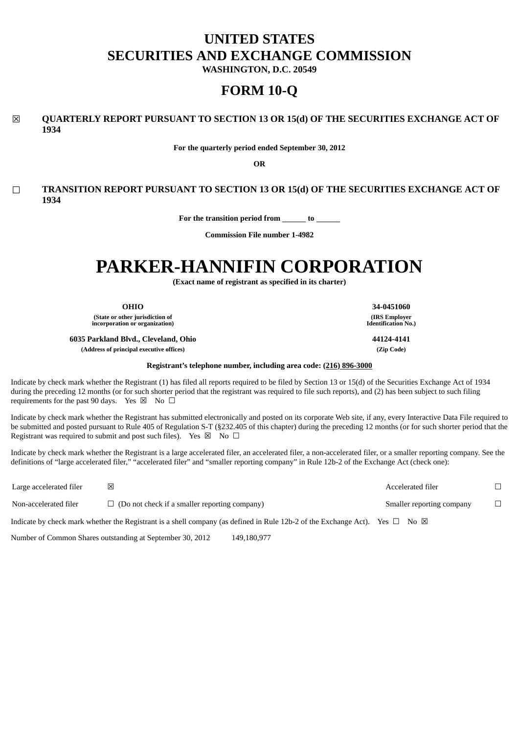# **UNITED STATES SECURITIES AND EXCHANGE COMMISSION**

**WASHINGTON, D.C. 20549**

# **FORM 10-Q**

# ☒ **QUARTERLY REPORT PURSUANT TO SECTION 13 OR 15(d) OF THE SECURITIES EXCHANGE ACT OF 1934**

**For the quarterly period ended September 30, 2012**

**OR**

# ☐ **TRANSITION REPORT PURSUANT TO SECTION 13 OR 15(d) OF THE SECURITIES EXCHANGE ACT OF 1934**

**For the transition period from to**

**Commission File number 1-4982**

# **PARKER-HANNIFIN CORPORATION**

**(Exact name of registrant as specified in its charter)**

**(State or other jurisdiction of incorporation or organization)**

**6035 Parkland Blvd., Cleveland, Ohio 44124-4141 (Address of principal executive offices) (Zip Code)**

**Registrant's telephone number, including area code: (216) 896-3000**

Indicate by check mark whether the Registrant (1) has filed all reports required to be filed by Section 13 or 15(d) of the Securities Exchange Act of 1934 during the preceding 12 months (or for such shorter period that the registrant was required to file such reports), and (2) has been subject to such filing requirements for the past 90 days. Yes  $\boxtimes$  No  $\Box$ 

Indicate by check mark whether the Registrant has submitted electronically and posted on its corporate Web site, if any, every Interactive Data File required to be submitted and posted pursuant to Rule 405 of Regulation S-T (§232.405 of this chapter) during the preceding 12 months (or for such shorter period that the Registrant was required to submit and post such files). Yes  $\boxtimes \Box$  No  $\Box$ 

Indicate by check mark whether the Registrant is a large accelerated filer, an accelerated filer, a non-accelerated filer, or a smaller reporting company. See the definitions of "large accelerated filer," "accelerated filer" and "smaller reporting company" in Rule 12b-2 of the Exchange Act (check one):

Large accelerated filer ☒ Accelerated filer ☐ Non-accelerated filer □ (Do not check if a smaller reporting company) Smaller reporting company □ Indicate by check mark whether the Registrant is a shell company (as defined in Rule 12b-2 of the Exchange Act). Yes  $\Box$  No  $\boxtimes$ 

Number of Common Shares outstanding at September 30, 2012 149,180,977

**OHIO 34-0451060 (IRS Employer Identification No.)**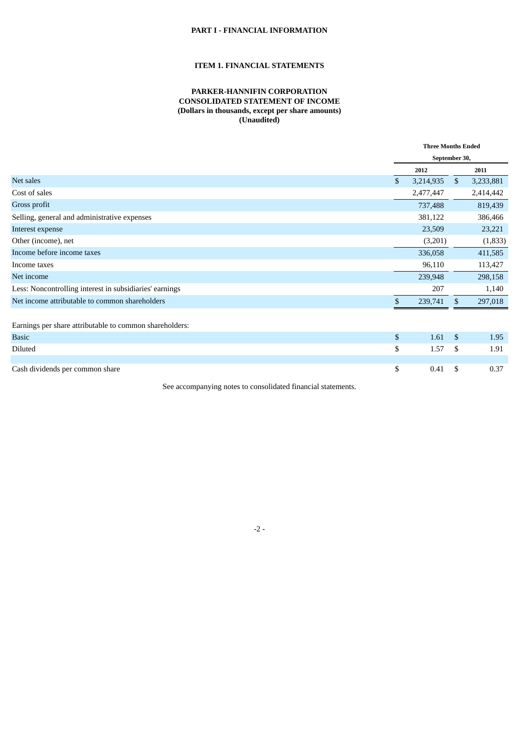# **PART I - FINANCIAL INFORMATION**

#### **ITEM 1. FINANCIAL STATEMENTS**

#### **PARKER-HANNIFIN CORPORATION CONSOLIDATED STATEMENT OF INCOME (Dollars in thousands, except per share amounts) (Unaudited)**

|                                                         | <b>Three Months Ended</b> |              |           |  |
|---------------------------------------------------------|---------------------------|--------------|-----------|--|
|                                                         | September 30,             |              |           |  |
|                                                         | 2012                      |              | 2011      |  |
| Net sales                                               | \$<br>3,214,935           | $\mathbb{S}$ | 3,233,881 |  |
| Cost of sales                                           | 2,477,447                 |              | 2,414,442 |  |
| Gross profit                                            | 737,488                   |              | 819,439   |  |
| Selling, general and administrative expenses            | 381,122                   |              | 386,466   |  |
| Interest expense                                        | 23,509                    |              | 23,221    |  |
| Other (income), net                                     | (3,201)                   |              | (1,833)   |  |
| Income before income taxes                              | 336,058                   |              | 411,585   |  |
| Income taxes                                            | 96,110                    |              | 113,427   |  |
| Net income                                              | 239,948                   |              | 298,158   |  |
| Less: Noncontrolling interest in subsidiaries' earnings | 207                       |              | 1,140     |  |
| Net income attributable to common shareholders          | \$<br>239,741             | \$.          | 297,018   |  |
| Earnings per share attributable to common shareholders: |                           |              |           |  |
| <b>Basic</b>                                            | \$<br>1.61                | $\mathbb{S}$ | 1.95      |  |
| Diluted                                                 | \$<br>1.57                | \$           | 1.91      |  |
|                                                         |                           |              |           |  |
| Cash dividends per common share                         | \$<br>0.41                | S            | 0.37      |  |

See accompanying notes to consolidated financial statements.

-2 -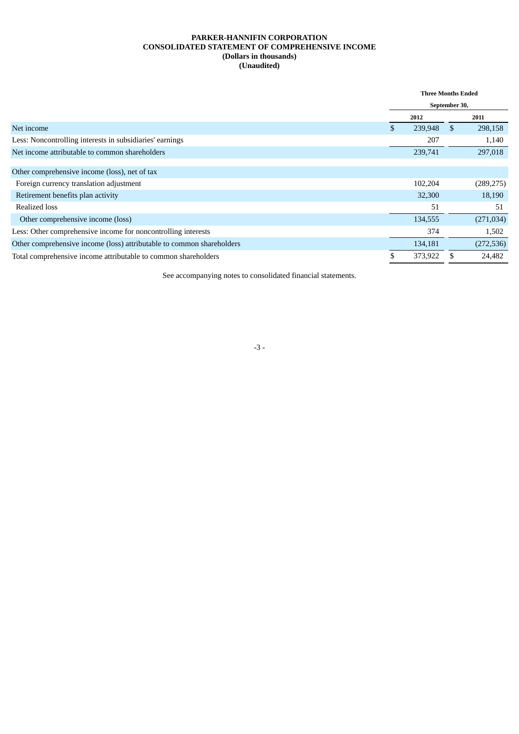#### **PARKER-HANNIFIN CORPORATION CONSOLIDATED STATEMENT OF COMPREHENSIVE INCOME (Dollars in thousands) (Unaudited)**

| <b>Three Months Ended</b> |         |     |            |
|---------------------------|---------|-----|------------|
| September 30,             |         |     |            |
|                           | 2012    |     | 2011       |
| \$                        | 239,948 | \$. | 298,158    |
|                           | 207     |     | 1,140      |
|                           | 239,741 |     | 297,018    |
|                           |         |     |            |
|                           |         |     |            |
|                           | 102,204 |     | (289, 275) |
|                           | 32,300  |     | 18,190     |
|                           | 51      |     | 51         |
|                           | 134,555 |     | (271, 034) |
|                           | 374     |     | 1,502      |
|                           | 134,181 |     | (272, 536) |
|                           | 373,922 |     | 24,482     |
|                           |         |     |            |

See accompanying notes to consolidated financial statements.

#### -3 -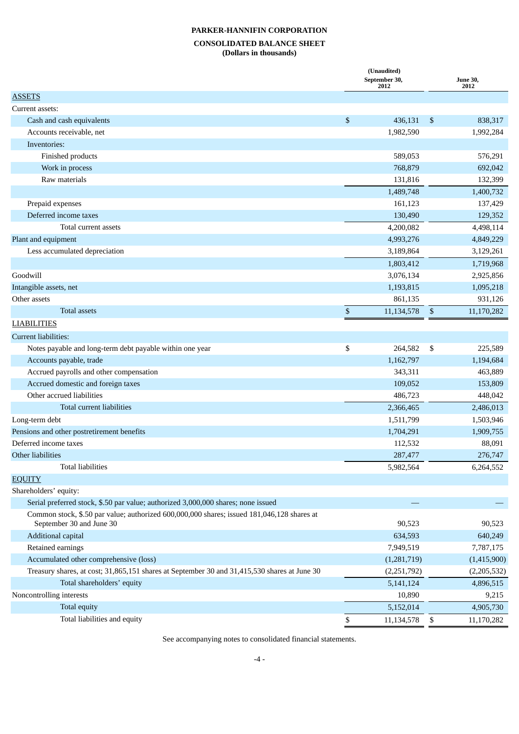## **CONSOLIDATED BALANCE SHEET (Dollars in thousands)**

| <b>ASSETS</b><br>Current assets:<br>\$<br>Cash and cash equivalents<br>436,131<br>\$<br>838,317<br>1,992,284<br>Accounts receivable, net<br>1,982,590<br>Inventories:<br>Finished products<br>589,053<br>576,291<br>Work in process<br>768,879<br>692,042<br>Raw materials<br>131,816<br>132,399<br>1,400,732<br>1,489,748<br>Prepaid expenses<br>137,429<br>161,123<br>Deferred income taxes<br>130,490<br>129,352<br>Total current assets<br>4,200,082<br>4,498,114<br>Plant and equipment<br>4,993,276<br>4,849,229<br>Less accumulated depreciation<br>3,189,864<br>3,129,261<br>1,803,412<br>1,719,968<br>Goodwill<br>3,076,134<br>2,925,856<br>Intangible assets, net<br>1,193,815<br>1,095,218<br>Other assets<br>931,126<br>861,135<br><b>Total assets</b><br>$\mathbb{S}$<br>\$<br>11,134,578<br>11,170,282<br><b>LIABILITIES</b><br>Current liabilities:<br>\$<br>Notes payable and long-term debt payable within one year<br>264,582<br>\$<br>225,589<br>1,162,797<br>Accounts payable, trade<br>1,194,684<br>Accrued payrolls and other compensation<br>463,889<br>343,311<br>Accrued domestic and foreign taxes<br>153,809<br>109,052<br>Other accrued liabilities<br>448,042<br>486,723<br>Total current liabilities<br>2,366,465<br>2,486,013<br>Long-term debt<br>1,511,799<br>1,503,946<br>Pensions and other postretirement benefits<br>1,909,755<br>1,704,291<br>Deferred income taxes<br>88,091<br>112,532<br>Other liabilities<br>287,477<br>276,747<br><b>Total liabilities</b><br>5,982,564<br>6,264,552<br><b>EQUITY</b><br>Shareholders' equity:<br>Serial preferred stock, \$.50 par value; authorized 3,000,000 shares; none issued<br>Common stock, \$.50 par value; authorized 600,000,000 shares; issued 181,046,128 shares at<br>September 30 and June 30<br>90,523<br>90,523<br>Additional capital<br>640,249<br>634,593<br>Retained earnings<br>7,949,519<br>7,787,175<br>Accumulated other comprehensive (loss)<br>(1,281,719)<br>(1,415,900)<br>Treasury shares, at cost; 31,865,151 shares at September 30 and 31,415,530 shares at June 30<br>(2,205,532)<br>(2,251,792)<br>Total shareholders' equity<br>5,141,124<br>4,896,515<br>Noncontrolling interests<br>10,890<br>9,215<br>Total equity<br>5,152,014<br>4,905,730 |                              | (Unaudited)<br>September 30,<br>2012 | <b>June 30,</b><br>2012 |
|----------------------------------------------------------------------------------------------------------------------------------------------------------------------------------------------------------------------------------------------------------------------------------------------------------------------------------------------------------------------------------------------------------------------------------------------------------------------------------------------------------------------------------------------------------------------------------------------------------------------------------------------------------------------------------------------------------------------------------------------------------------------------------------------------------------------------------------------------------------------------------------------------------------------------------------------------------------------------------------------------------------------------------------------------------------------------------------------------------------------------------------------------------------------------------------------------------------------------------------------------------------------------------------------------------------------------------------------------------------------------------------------------------------------------------------------------------------------------------------------------------------------------------------------------------------------------------------------------------------------------------------------------------------------------------------------------------------------------------------------------------------------------------------------------------------------------------------------------------------------------------------------------------------------------------------------------------------------------------------------------------------------------------------------------------------------------------------------------------------------------------------------------------------------------------------------------------------------------------------------------------------|------------------------------|--------------------------------------|-------------------------|
|                                                                                                                                                                                                                                                                                                                                                                                                                                                                                                                                                                                                                                                                                                                                                                                                                                                                                                                                                                                                                                                                                                                                                                                                                                                                                                                                                                                                                                                                                                                                                                                                                                                                                                                                                                                                                                                                                                                                                                                                                                                                                                                                                                                                                                                                |                              |                                      |                         |
|                                                                                                                                                                                                                                                                                                                                                                                                                                                                                                                                                                                                                                                                                                                                                                                                                                                                                                                                                                                                                                                                                                                                                                                                                                                                                                                                                                                                                                                                                                                                                                                                                                                                                                                                                                                                                                                                                                                                                                                                                                                                                                                                                                                                                                                                |                              |                                      |                         |
|                                                                                                                                                                                                                                                                                                                                                                                                                                                                                                                                                                                                                                                                                                                                                                                                                                                                                                                                                                                                                                                                                                                                                                                                                                                                                                                                                                                                                                                                                                                                                                                                                                                                                                                                                                                                                                                                                                                                                                                                                                                                                                                                                                                                                                                                |                              |                                      |                         |
|                                                                                                                                                                                                                                                                                                                                                                                                                                                                                                                                                                                                                                                                                                                                                                                                                                                                                                                                                                                                                                                                                                                                                                                                                                                                                                                                                                                                                                                                                                                                                                                                                                                                                                                                                                                                                                                                                                                                                                                                                                                                                                                                                                                                                                                                |                              |                                      |                         |
|                                                                                                                                                                                                                                                                                                                                                                                                                                                                                                                                                                                                                                                                                                                                                                                                                                                                                                                                                                                                                                                                                                                                                                                                                                                                                                                                                                                                                                                                                                                                                                                                                                                                                                                                                                                                                                                                                                                                                                                                                                                                                                                                                                                                                                                                |                              |                                      |                         |
|                                                                                                                                                                                                                                                                                                                                                                                                                                                                                                                                                                                                                                                                                                                                                                                                                                                                                                                                                                                                                                                                                                                                                                                                                                                                                                                                                                                                                                                                                                                                                                                                                                                                                                                                                                                                                                                                                                                                                                                                                                                                                                                                                                                                                                                                |                              |                                      |                         |
|                                                                                                                                                                                                                                                                                                                                                                                                                                                                                                                                                                                                                                                                                                                                                                                                                                                                                                                                                                                                                                                                                                                                                                                                                                                                                                                                                                                                                                                                                                                                                                                                                                                                                                                                                                                                                                                                                                                                                                                                                                                                                                                                                                                                                                                                |                              |                                      |                         |
|                                                                                                                                                                                                                                                                                                                                                                                                                                                                                                                                                                                                                                                                                                                                                                                                                                                                                                                                                                                                                                                                                                                                                                                                                                                                                                                                                                                                                                                                                                                                                                                                                                                                                                                                                                                                                                                                                                                                                                                                                                                                                                                                                                                                                                                                |                              |                                      |                         |
|                                                                                                                                                                                                                                                                                                                                                                                                                                                                                                                                                                                                                                                                                                                                                                                                                                                                                                                                                                                                                                                                                                                                                                                                                                                                                                                                                                                                                                                                                                                                                                                                                                                                                                                                                                                                                                                                                                                                                                                                                                                                                                                                                                                                                                                                |                              |                                      |                         |
|                                                                                                                                                                                                                                                                                                                                                                                                                                                                                                                                                                                                                                                                                                                                                                                                                                                                                                                                                                                                                                                                                                                                                                                                                                                                                                                                                                                                                                                                                                                                                                                                                                                                                                                                                                                                                                                                                                                                                                                                                                                                                                                                                                                                                                                                |                              |                                      |                         |
|                                                                                                                                                                                                                                                                                                                                                                                                                                                                                                                                                                                                                                                                                                                                                                                                                                                                                                                                                                                                                                                                                                                                                                                                                                                                                                                                                                                                                                                                                                                                                                                                                                                                                                                                                                                                                                                                                                                                                                                                                                                                                                                                                                                                                                                                |                              |                                      |                         |
|                                                                                                                                                                                                                                                                                                                                                                                                                                                                                                                                                                                                                                                                                                                                                                                                                                                                                                                                                                                                                                                                                                                                                                                                                                                                                                                                                                                                                                                                                                                                                                                                                                                                                                                                                                                                                                                                                                                                                                                                                                                                                                                                                                                                                                                                |                              |                                      |                         |
|                                                                                                                                                                                                                                                                                                                                                                                                                                                                                                                                                                                                                                                                                                                                                                                                                                                                                                                                                                                                                                                                                                                                                                                                                                                                                                                                                                                                                                                                                                                                                                                                                                                                                                                                                                                                                                                                                                                                                                                                                                                                                                                                                                                                                                                                |                              |                                      |                         |
|                                                                                                                                                                                                                                                                                                                                                                                                                                                                                                                                                                                                                                                                                                                                                                                                                                                                                                                                                                                                                                                                                                                                                                                                                                                                                                                                                                                                                                                                                                                                                                                                                                                                                                                                                                                                                                                                                                                                                                                                                                                                                                                                                                                                                                                                |                              |                                      |                         |
|                                                                                                                                                                                                                                                                                                                                                                                                                                                                                                                                                                                                                                                                                                                                                                                                                                                                                                                                                                                                                                                                                                                                                                                                                                                                                                                                                                                                                                                                                                                                                                                                                                                                                                                                                                                                                                                                                                                                                                                                                                                                                                                                                                                                                                                                |                              |                                      |                         |
|                                                                                                                                                                                                                                                                                                                                                                                                                                                                                                                                                                                                                                                                                                                                                                                                                                                                                                                                                                                                                                                                                                                                                                                                                                                                                                                                                                                                                                                                                                                                                                                                                                                                                                                                                                                                                                                                                                                                                                                                                                                                                                                                                                                                                                                                |                              |                                      |                         |
|                                                                                                                                                                                                                                                                                                                                                                                                                                                                                                                                                                                                                                                                                                                                                                                                                                                                                                                                                                                                                                                                                                                                                                                                                                                                                                                                                                                                                                                                                                                                                                                                                                                                                                                                                                                                                                                                                                                                                                                                                                                                                                                                                                                                                                                                |                              |                                      |                         |
|                                                                                                                                                                                                                                                                                                                                                                                                                                                                                                                                                                                                                                                                                                                                                                                                                                                                                                                                                                                                                                                                                                                                                                                                                                                                                                                                                                                                                                                                                                                                                                                                                                                                                                                                                                                                                                                                                                                                                                                                                                                                                                                                                                                                                                                                |                              |                                      |                         |
|                                                                                                                                                                                                                                                                                                                                                                                                                                                                                                                                                                                                                                                                                                                                                                                                                                                                                                                                                                                                                                                                                                                                                                                                                                                                                                                                                                                                                                                                                                                                                                                                                                                                                                                                                                                                                                                                                                                                                                                                                                                                                                                                                                                                                                                                |                              |                                      |                         |
|                                                                                                                                                                                                                                                                                                                                                                                                                                                                                                                                                                                                                                                                                                                                                                                                                                                                                                                                                                                                                                                                                                                                                                                                                                                                                                                                                                                                                                                                                                                                                                                                                                                                                                                                                                                                                                                                                                                                                                                                                                                                                                                                                                                                                                                                |                              |                                      |                         |
|                                                                                                                                                                                                                                                                                                                                                                                                                                                                                                                                                                                                                                                                                                                                                                                                                                                                                                                                                                                                                                                                                                                                                                                                                                                                                                                                                                                                                                                                                                                                                                                                                                                                                                                                                                                                                                                                                                                                                                                                                                                                                                                                                                                                                                                                |                              |                                      |                         |
|                                                                                                                                                                                                                                                                                                                                                                                                                                                                                                                                                                                                                                                                                                                                                                                                                                                                                                                                                                                                                                                                                                                                                                                                                                                                                                                                                                                                                                                                                                                                                                                                                                                                                                                                                                                                                                                                                                                                                                                                                                                                                                                                                                                                                                                                |                              |                                      |                         |
|                                                                                                                                                                                                                                                                                                                                                                                                                                                                                                                                                                                                                                                                                                                                                                                                                                                                                                                                                                                                                                                                                                                                                                                                                                                                                                                                                                                                                                                                                                                                                                                                                                                                                                                                                                                                                                                                                                                                                                                                                                                                                                                                                                                                                                                                |                              |                                      |                         |
|                                                                                                                                                                                                                                                                                                                                                                                                                                                                                                                                                                                                                                                                                                                                                                                                                                                                                                                                                                                                                                                                                                                                                                                                                                                                                                                                                                                                                                                                                                                                                                                                                                                                                                                                                                                                                                                                                                                                                                                                                                                                                                                                                                                                                                                                |                              |                                      |                         |
|                                                                                                                                                                                                                                                                                                                                                                                                                                                                                                                                                                                                                                                                                                                                                                                                                                                                                                                                                                                                                                                                                                                                                                                                                                                                                                                                                                                                                                                                                                                                                                                                                                                                                                                                                                                                                                                                                                                                                                                                                                                                                                                                                                                                                                                                |                              |                                      |                         |
|                                                                                                                                                                                                                                                                                                                                                                                                                                                                                                                                                                                                                                                                                                                                                                                                                                                                                                                                                                                                                                                                                                                                                                                                                                                                                                                                                                                                                                                                                                                                                                                                                                                                                                                                                                                                                                                                                                                                                                                                                                                                                                                                                                                                                                                                |                              |                                      |                         |
|                                                                                                                                                                                                                                                                                                                                                                                                                                                                                                                                                                                                                                                                                                                                                                                                                                                                                                                                                                                                                                                                                                                                                                                                                                                                                                                                                                                                                                                                                                                                                                                                                                                                                                                                                                                                                                                                                                                                                                                                                                                                                                                                                                                                                                                                |                              |                                      |                         |
|                                                                                                                                                                                                                                                                                                                                                                                                                                                                                                                                                                                                                                                                                                                                                                                                                                                                                                                                                                                                                                                                                                                                                                                                                                                                                                                                                                                                                                                                                                                                                                                                                                                                                                                                                                                                                                                                                                                                                                                                                                                                                                                                                                                                                                                                |                              |                                      |                         |
|                                                                                                                                                                                                                                                                                                                                                                                                                                                                                                                                                                                                                                                                                                                                                                                                                                                                                                                                                                                                                                                                                                                                                                                                                                                                                                                                                                                                                                                                                                                                                                                                                                                                                                                                                                                                                                                                                                                                                                                                                                                                                                                                                                                                                                                                |                              |                                      |                         |
|                                                                                                                                                                                                                                                                                                                                                                                                                                                                                                                                                                                                                                                                                                                                                                                                                                                                                                                                                                                                                                                                                                                                                                                                                                                                                                                                                                                                                                                                                                                                                                                                                                                                                                                                                                                                                                                                                                                                                                                                                                                                                                                                                                                                                                                                |                              |                                      |                         |
|                                                                                                                                                                                                                                                                                                                                                                                                                                                                                                                                                                                                                                                                                                                                                                                                                                                                                                                                                                                                                                                                                                                                                                                                                                                                                                                                                                                                                                                                                                                                                                                                                                                                                                                                                                                                                                                                                                                                                                                                                                                                                                                                                                                                                                                                |                              |                                      |                         |
|                                                                                                                                                                                                                                                                                                                                                                                                                                                                                                                                                                                                                                                                                                                                                                                                                                                                                                                                                                                                                                                                                                                                                                                                                                                                                                                                                                                                                                                                                                                                                                                                                                                                                                                                                                                                                                                                                                                                                                                                                                                                                                                                                                                                                                                                |                              |                                      |                         |
|                                                                                                                                                                                                                                                                                                                                                                                                                                                                                                                                                                                                                                                                                                                                                                                                                                                                                                                                                                                                                                                                                                                                                                                                                                                                                                                                                                                                                                                                                                                                                                                                                                                                                                                                                                                                                                                                                                                                                                                                                                                                                                                                                                                                                                                                |                              |                                      |                         |
|                                                                                                                                                                                                                                                                                                                                                                                                                                                                                                                                                                                                                                                                                                                                                                                                                                                                                                                                                                                                                                                                                                                                                                                                                                                                                                                                                                                                                                                                                                                                                                                                                                                                                                                                                                                                                                                                                                                                                                                                                                                                                                                                                                                                                                                                |                              |                                      |                         |
|                                                                                                                                                                                                                                                                                                                                                                                                                                                                                                                                                                                                                                                                                                                                                                                                                                                                                                                                                                                                                                                                                                                                                                                                                                                                                                                                                                                                                                                                                                                                                                                                                                                                                                                                                                                                                                                                                                                                                                                                                                                                                                                                                                                                                                                                |                              |                                      |                         |
|                                                                                                                                                                                                                                                                                                                                                                                                                                                                                                                                                                                                                                                                                                                                                                                                                                                                                                                                                                                                                                                                                                                                                                                                                                                                                                                                                                                                                                                                                                                                                                                                                                                                                                                                                                                                                                                                                                                                                                                                                                                                                                                                                                                                                                                                |                              |                                      |                         |
|                                                                                                                                                                                                                                                                                                                                                                                                                                                                                                                                                                                                                                                                                                                                                                                                                                                                                                                                                                                                                                                                                                                                                                                                                                                                                                                                                                                                                                                                                                                                                                                                                                                                                                                                                                                                                                                                                                                                                                                                                                                                                                                                                                                                                                                                |                              |                                      |                         |
|                                                                                                                                                                                                                                                                                                                                                                                                                                                                                                                                                                                                                                                                                                                                                                                                                                                                                                                                                                                                                                                                                                                                                                                                                                                                                                                                                                                                                                                                                                                                                                                                                                                                                                                                                                                                                                                                                                                                                                                                                                                                                                                                                                                                                                                                |                              |                                      |                         |
|                                                                                                                                                                                                                                                                                                                                                                                                                                                                                                                                                                                                                                                                                                                                                                                                                                                                                                                                                                                                                                                                                                                                                                                                                                                                                                                                                                                                                                                                                                                                                                                                                                                                                                                                                                                                                                                                                                                                                                                                                                                                                                                                                                                                                                                                |                              |                                      |                         |
|                                                                                                                                                                                                                                                                                                                                                                                                                                                                                                                                                                                                                                                                                                                                                                                                                                                                                                                                                                                                                                                                                                                                                                                                                                                                                                                                                                                                                                                                                                                                                                                                                                                                                                                                                                                                                                                                                                                                                                                                                                                                                                                                                                                                                                                                |                              |                                      |                         |
|                                                                                                                                                                                                                                                                                                                                                                                                                                                                                                                                                                                                                                                                                                                                                                                                                                                                                                                                                                                                                                                                                                                                                                                                                                                                                                                                                                                                                                                                                                                                                                                                                                                                                                                                                                                                                                                                                                                                                                                                                                                                                                                                                                                                                                                                |                              |                                      |                         |
|                                                                                                                                                                                                                                                                                                                                                                                                                                                                                                                                                                                                                                                                                                                                                                                                                                                                                                                                                                                                                                                                                                                                                                                                                                                                                                                                                                                                                                                                                                                                                                                                                                                                                                                                                                                                                                                                                                                                                                                                                                                                                                                                                                                                                                                                |                              |                                      |                         |
|                                                                                                                                                                                                                                                                                                                                                                                                                                                                                                                                                                                                                                                                                                                                                                                                                                                                                                                                                                                                                                                                                                                                                                                                                                                                                                                                                                                                                                                                                                                                                                                                                                                                                                                                                                                                                                                                                                                                                                                                                                                                                                                                                                                                                                                                |                              |                                      |                         |
|                                                                                                                                                                                                                                                                                                                                                                                                                                                                                                                                                                                                                                                                                                                                                                                                                                                                                                                                                                                                                                                                                                                                                                                                                                                                                                                                                                                                                                                                                                                                                                                                                                                                                                                                                                                                                                                                                                                                                                                                                                                                                                                                                                                                                                                                |                              |                                      |                         |
|                                                                                                                                                                                                                                                                                                                                                                                                                                                                                                                                                                                                                                                                                                                                                                                                                                                                                                                                                                                                                                                                                                                                                                                                                                                                                                                                                                                                                                                                                                                                                                                                                                                                                                                                                                                                                                                                                                                                                                                                                                                                                                                                                                                                                                                                | Total liabilities and equity | \$<br>11,134,578                     | \$<br>11,170,282        |

See accompanying notes to consolidated financial statements.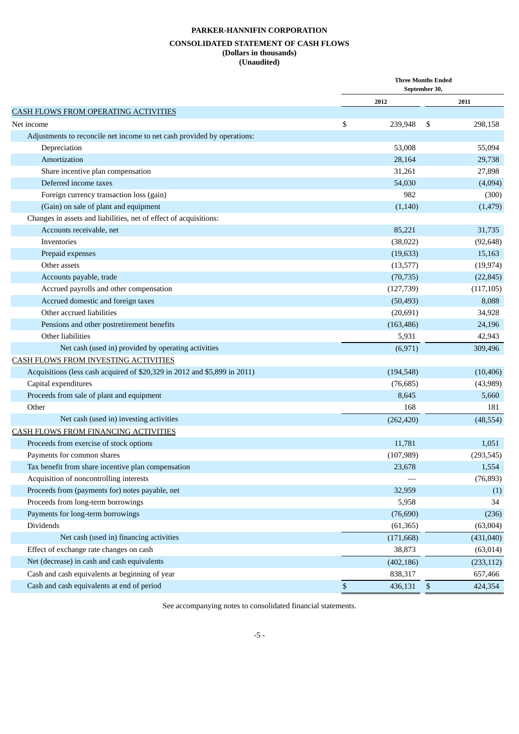#### **CONSOLIDATED STATEMENT OF CASH FLOWS (Dollars in thousands) (Unaudited)**

|                                                                           | <b>Three Months Ended</b><br>September 30, |            |    |            |
|---------------------------------------------------------------------------|--------------------------------------------|------------|----|------------|
|                                                                           |                                            | 2012       |    | 2011       |
| <b>CASH FLOWS FROM OPERATING ACTIVITIES</b>                               |                                            |            |    |            |
| Net income                                                                | \$                                         | 239,948    | \$ | 298,158    |
| Adjustments to reconcile net income to net cash provided by operations:   |                                            |            |    |            |
| Depreciation                                                              |                                            | 53,008     |    | 55,094     |
| Amortization                                                              |                                            | 28,164     |    | 29,738     |
| Share incentive plan compensation                                         |                                            | 31,261     |    | 27,898     |
| Deferred income taxes                                                     |                                            | 54,030     |    | (4,094)    |
| Foreign currency transaction loss (gain)                                  |                                            | 982        |    | (300)      |
| (Gain) on sale of plant and equipment                                     |                                            | (1,140)    |    | (1, 479)   |
| Changes in assets and liabilities, net of effect of acquisitions:         |                                            |            |    |            |
| Accounts receivable, net                                                  |                                            | 85,221     |    | 31,735     |
| Inventories                                                               |                                            | (38,022)   |    | (92, 648)  |
| Prepaid expenses                                                          |                                            | (19, 633)  |    | 15,163     |
| Other assets                                                              |                                            | (13,577)   |    | (19, 974)  |
| Accounts payable, trade                                                   |                                            | (70, 735)  |    | (22, 845)  |
| Accrued payrolls and other compensation                                   |                                            | (127, 739) |    | (117, 105) |
| Accrued domestic and foreign taxes                                        |                                            | (50, 493)  |    | 8,088      |
| Other accrued liabilities                                                 |                                            | (20, 691)  |    | 34,928     |
| Pensions and other postretirement benefits                                |                                            | (163, 486) |    | 24,196     |
| Other liabilities                                                         |                                            | 5,931      |    | 42,943     |
| Net cash (used in) provided by operating activities                       |                                            | (6,971)    |    | 309,496    |
| CASH FLOWS FROM INVESTING ACTIVITIES                                      |                                            |            |    |            |
| Acquisitions (less cash acquired of \$20,329 in 2012 and \$5,899 in 2011) |                                            | (194, 548) |    | (10, 406)  |
| Capital expenditures                                                      |                                            | (76, 685)  |    | (43,989)   |
| Proceeds from sale of plant and equipment                                 |                                            | 8,645      |    | 5,660      |
| Other                                                                     |                                            | 168        |    | 181        |
| Net cash (used in) investing activities                                   |                                            | (262, 420) |    | (48, 554)  |
| CASH FLOWS FROM FINANCING ACTIVITIES                                      |                                            |            |    |            |
| Proceeds from exercise of stock options                                   |                                            | 11,781     |    | 1,051      |
| Payments for common shares                                                |                                            | (107, 989) |    | (293, 545) |
| Tax benefit from share incentive plan compensation                        |                                            | 23,678     |    | 1,554      |
| Acquisition of noncontrolling interests                                   |                                            |            |    | (76, 893)  |
| Proceeds from (payments for) notes payable, net                           |                                            | 32,959     |    | (1)        |
| Proceeds from long-term borrowings                                        |                                            | 5,958      |    | 34         |
| Payments for long-term borrowings                                         |                                            | (76, 690)  |    | (236)      |
| Dividends                                                                 |                                            | (61, 365)  |    | (63,004)   |
| Net cash (used in) financing activities                                   |                                            | (171, 668) |    | (431, 040) |
| Effect of exchange rate changes on cash                                   |                                            | 38,873     |    | (63, 014)  |
| Net (decrease) in cash and cash equivalents                               |                                            |            |    |            |
|                                                                           |                                            | (402, 186) |    | (233, 112) |
| Cash and cash equivalents at beginning of year                            |                                            | 838,317    |    | 657,466    |
| Cash and cash equivalents at end of period                                | $\$$                                       | 436,131    | \$ | 424,354    |

See accompanying notes to consolidated financial statements.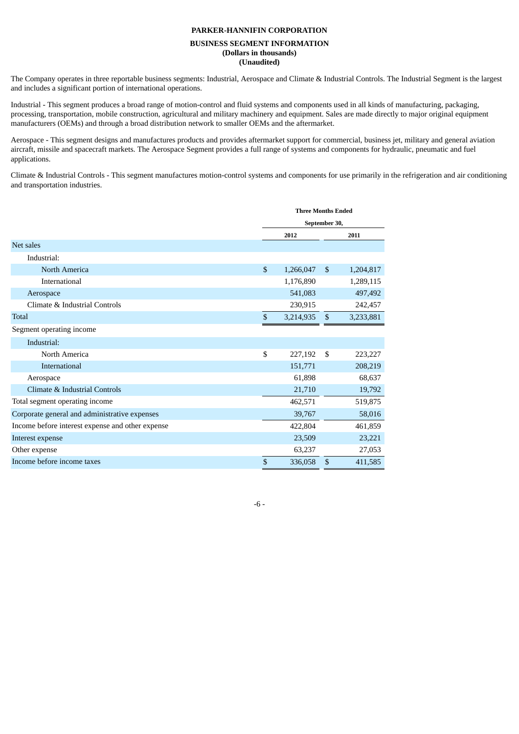#### **BUSINESS SEGMENT INFORMATION (Dollars in thousands) (Unaudited)**

The Company operates in three reportable business segments: Industrial, Aerospace and Climate & Industrial Controls. The Industrial Segment is the largest and includes a significant portion of international operations.

Industrial - This segment produces a broad range of motion-control and fluid systems and components used in all kinds of manufacturing, packaging, processing, transportation, mobile construction, agricultural and military machinery and equipment. Sales are made directly to major original equipment manufacturers (OEMs) and through a broad distribution network to smaller OEMs and the aftermarket.

Aerospace - This segment designs and manufactures products and provides aftermarket support for commercial, business jet, military and general aviation aircraft, missile and spacecraft markets. The Aerospace Segment provides a full range of systems and components for hydraulic, pneumatic and fuel applications.

Climate & Industrial Controls - This segment manufactures motion-control systems and components for use primarily in the refrigeration and air conditioning and transportation industries.

|                                                  |               | <b>Three Months Ended</b> |              |           |  |
|--------------------------------------------------|---------------|---------------------------|--------------|-----------|--|
|                                                  |               | September 30,             |              |           |  |
|                                                  |               | 2012                      | 2011         |           |  |
| Net sales                                        |               |                           |              |           |  |
| Industrial:                                      |               |                           |              |           |  |
| North America                                    | $\mathcal{S}$ | 1,266,047                 | $\mathbb{S}$ | 1,204,817 |  |
| International                                    |               | 1,176,890                 |              | 1,289,115 |  |
| Aerospace                                        |               | 541,083                   |              | 497,492   |  |
| Climate & Industrial Controls                    |               | 230,915                   |              | 242,457   |  |
| Total                                            | \$            | 3,214,935                 | \$           | 3,233,881 |  |
| Segment operating income                         |               |                           |              |           |  |
| Industrial:                                      |               |                           |              |           |  |
| North America                                    | \$            | 227,192                   | \$           | 223,227   |  |
| <b>International</b>                             |               | 151,771                   |              | 208,219   |  |
| Aerospace                                        |               | 61.898                    |              | 68,637    |  |
| Climate & Industrial Controls                    |               | 21,710                    |              | 19,792    |  |
| Total segment operating income                   |               | 462,571                   |              | 519,875   |  |
| Corporate general and administrative expenses    |               | 39,767                    |              | 58,016    |  |
| Income before interest expense and other expense |               | 422,804                   |              | 461,859   |  |
| Interest expense                                 |               | 23,509                    |              | 23,221    |  |
| Other expense                                    |               | 63,237                    |              | 27,053    |  |
| Income before income taxes                       | \$            | 336,058                   | \$           | 411,585   |  |

-6 -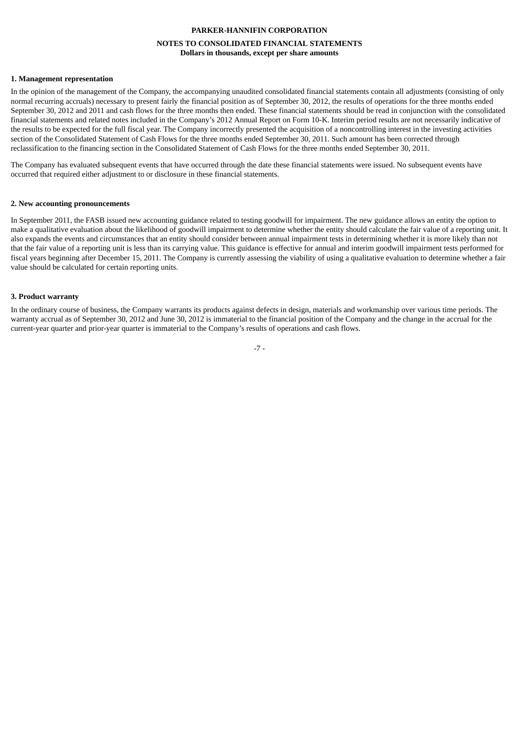# **PARKER-HANNIFIN CORPORATION NOTES TO CONSOLIDATED FINANCIAL STATEMENTS Dollars in thousands, except per share amounts**

#### **1. Management representation**

In the opinion of the management of the Company, the accompanying unaudited consolidated financial statements contain all adjustments (consisting of only normal recurring accruals) necessary to present fairly the financial position as of September 30, 2012, the results of operations for the three months ended September 30, 2012 and 2011 and cash flows for the three months then ended. These financial statements should be read in conjunction with the consolidated financial statements and related notes included in the Company's 2012 Annual Report on Form 10-K. Interim period results are not necessarily indicative of the results to be expected for the full fiscal year. The Company incorrectly presented the acquisition of a noncontrolling interest in the investing activities section of the Consolidated Statement of Cash Flows for the three months ended September 30, 2011. Such amount has been corrected through reclassification to the financing section in the Consolidated Statement of Cash Flows for the three months ended September 30, 2011.

The Company has evaluated subsequent events that have occurred through the date these financial statements were issued. No subsequent events have occurred that required either adjustment to or disclosure in these financial statements.

#### **2. New accounting pronouncements**

In September 2011, the FASB issued new accounting guidance related to testing goodwill for impairment. The new guidance allows an entity the option to make a qualitative evaluation about the likelihood of goodwill impairment to determine whether the entity should calculate the fair value of a reporting unit. It also expands the events and circumstances that an entity should consider between annual impairment tests in determining whether it is more likely than not that the fair value of a reporting unit is less than its carrying value. This guidance is effective for annual and interim goodwill impairment tests performed for fiscal years beginning after December 15, 2011. The Company is currently assessing the viability of using a qualitative evaluation to determine whether a fair value should be calculated for certain reporting units.

#### **3. Product warranty**

In the ordinary course of business, the Company warrants its products against defects in design, materials and workmanship over various time periods. The warranty accrual as of September 30, 2012 and June 30, 2012 is immaterial to the financial position of the Company and the change in the accrual for the current-year quarter and prior-year quarter is immaterial to the Company's results of operations and cash flows.

-7 -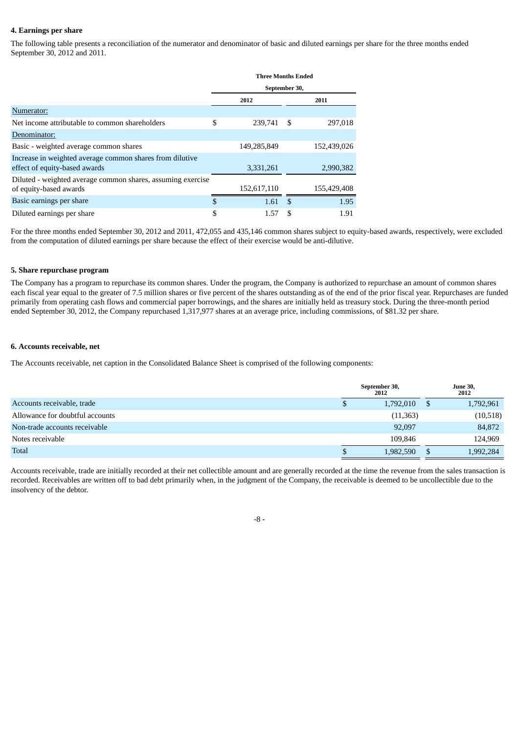#### **4. Earnings per share**

The following table presents a reconciliation of the numerator and denominator of basic and diluted earnings per share for the three months ended September 30, 2012 and 2011.

|                                                                                           | <b>Three Months Ended</b> |               |     |             |  |  |  |  |  |  |
|-------------------------------------------------------------------------------------------|---------------------------|---------------|-----|-------------|--|--|--|--|--|--|
|                                                                                           |                           | September 30, |     |             |  |  |  |  |  |  |
|                                                                                           |                           | 2012          |     | 2011        |  |  |  |  |  |  |
| Numerator:                                                                                |                           |               |     |             |  |  |  |  |  |  |
| Net income attributable to common shareholders                                            | \$                        | 239,741       | -S  | 297,018     |  |  |  |  |  |  |
| Denominator:                                                                              |                           |               |     |             |  |  |  |  |  |  |
| Basic - weighted average common shares                                                    |                           | 149,285,849   |     | 152,439,026 |  |  |  |  |  |  |
| Increase in weighted average common shares from dilutive<br>effect of equity-based awards |                           | 3,331,261     |     | 2,990,382   |  |  |  |  |  |  |
| Diluted - weighted average common shares, assuming exercise<br>of equity-based awards     |                           | 152,617,110   |     | 155,429,408 |  |  |  |  |  |  |
| Basic earnings per share                                                                  | \$                        | 1.61          | -\$ | 1.95        |  |  |  |  |  |  |
| Diluted earnings per share                                                                | \$                        | 1.57          | \$  | 1.91        |  |  |  |  |  |  |

For the three months ended September 30, 2012 and 2011, 472,055 and 435,146 common shares subject to equity-based awards, respectively, were excluded from the computation of diluted earnings per share because the effect of their exercise would be anti-dilutive.

#### **5. Share repurchase program**

The Company has a program to repurchase its common shares. Under the program, the Company is authorized to repurchase an amount of common shares each fiscal year equal to the greater of 7.5 million shares or five percent of the shares outstanding as of the end of the prior fiscal year. Repurchases are funded primarily from operating cash flows and commercial paper borrowings, and the shares are initially held as treasury stock. During the three-month period ended September 30, 2012, the Company repurchased 1,317,977 shares at an average price, including commissions, of \$81.32 per share.

#### **6. Accounts receivable, net**

The Accounts receivable, net caption in the Consolidated Balance Sheet is comprised of the following components:

|                                 | September 30,<br>2012 |           |  | <b>June 30,</b><br>2012 |
|---------------------------------|-----------------------|-----------|--|-------------------------|
| Accounts receivable, trade      |                       | 1,792,010 |  | 1,792,961               |
| Allowance for doubtful accounts |                       | (11, 363) |  | (10, 518)               |
| Non-trade accounts receivable   |                       | 92,097    |  | 84,872                  |
| Notes receivable                |                       | 109.846   |  | 124,969                 |
| <b>Total</b>                    |                       | 1,982,590 |  | 1,992,284               |

Accounts receivable, trade are initially recorded at their net collectible amount and are generally recorded at the time the revenue from the sales transaction is recorded. Receivables are written off to bad debt primarily when, in the judgment of the Company, the receivable is deemed to be uncollectible due to the insolvency of the debtor.

#### -8 -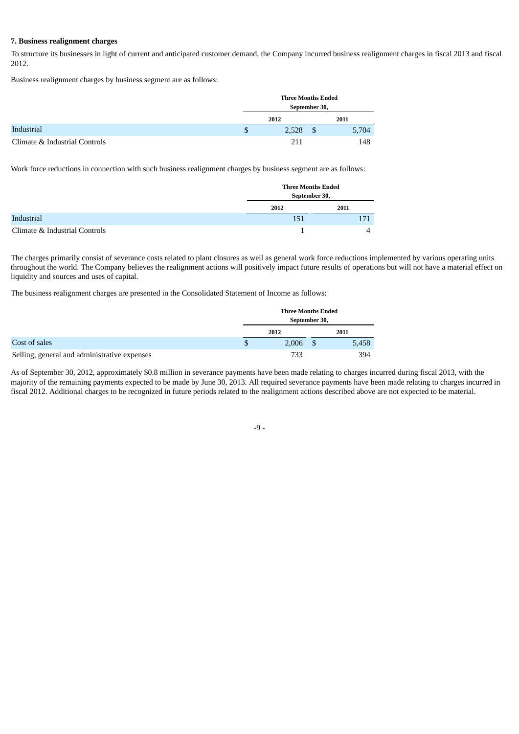#### **7. Business realignment charges**

To structure its businesses in light of current and anticipated customer demand, the Company incurred business realignment charges in fiscal 2013 and fiscal 2012.

Business realignment charges by business segment are as follows:

|                               | <b>Three Months Ended</b><br>September 30, |       |
|-------------------------------|--------------------------------------------|-------|
|                               | 2012                                       | 2011  |
| Industrial                    | \$<br>2,528                                | 5,704 |
| Climate & Industrial Controls | 211                                        | 148   |

Work force reductions in connection with such business realignment charges by business segment are as follows:

|                               | <b>Three Months Ended</b><br>September 30, |      |
|-------------------------------|--------------------------------------------|------|
|                               | 2012                                       | 2011 |
| Industrial                    | 151                                        | 171  |
| Climate & Industrial Controls |                                            |      |

The charges primarily consist of severance costs related to plant closures as well as general work force reductions implemented by various operating units throughout the world. The Company believes the realignment actions will positively impact future results of operations but will not have a material effect on liquidity and sources and uses of capital.

The business realignment charges are presented in the Consolidated Statement of Income as follows:

|                                              | <b>Three Months Ended</b><br>September 30, |          |       |
|----------------------------------------------|--------------------------------------------|----------|-------|
|                                              | 2012                                       |          | 2011  |
| Cost of sales                                | 2.006                                      | <b>S</b> | 5,458 |
| Selling, general and administrative expenses | 733                                        |          | 394   |

As of September 30, 2012, approximately \$0.8 million in severance payments have been made relating to charges incurred during fiscal 2013, with the majority of the remaining payments expected to be made by June 30, 2013. All required severance payments have been made relating to charges incurred in fiscal 2012. Additional charges to be recognized in future periods related to the realignment actions described above are not expected to be material.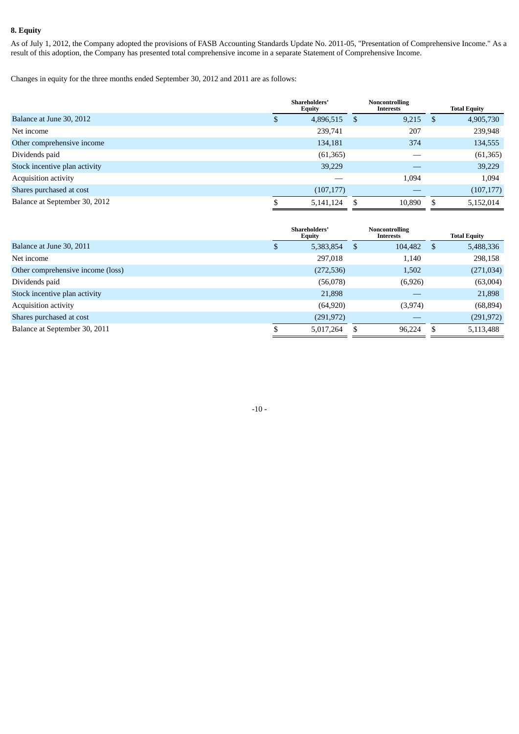# **8. Equity**

As of July 1, 2012, the Company adopted the provisions of FASB Accounting Standards Update No. 2011-05, "Presentation of Comprehensive Income." As a result of this adoption, the Company has presented total comprehensive income in a separate Statement of Comprehensive Income.

Changes in equity for the three months ended September 30, 2012 and 2011 are as follows:

|                               |    | Shareholders'<br><b>Equity</b> | Noncontrolling<br><b>Interests</b> |            | <b>Total Equity</b> |
|-------------------------------|----|--------------------------------|------------------------------------|------------|---------------------|
| Balance at June 30, 2012      | \$ | 4,896,515                      | <sup>\$</sup>                      | $9,215$ \$ | 4,905,730           |
| Net income                    |    | 239,741                        |                                    | 207        | 239,948             |
| Other comprehensive income    |    | 134,181                        |                                    | 374        | 134,555             |
| Dividends paid                |    | (61, 365)                      |                                    |            | (61, 365)           |
| Stock incentive plan activity |    | 39,229                         |                                    |            | 39,229              |
| <b>Acquisition activity</b>   |    |                                |                                    | 1,094      | 1,094               |
| Shares purchased at cost      |    | (107, 177)                     |                                    |            | (107, 177)          |
| Balance at September 30, 2012 | S  | 5,141,124                      | S                                  | 10,890     | 5,152,014           |

|                                   |    | Shareholders'<br>Equity | Noncontrolling<br>Interests |         |   | <b>Total Equity</b> |
|-----------------------------------|----|-------------------------|-----------------------------|---------|---|---------------------|
| Balance at June 30, 2011          | Φ  | 5,383,854               | S.                          | 104,482 | S | 5,488,336           |
| Net income                        |    | 297,018                 |                             | 1,140   |   | 298,158             |
| Other comprehensive income (loss) |    | (272, 536)              |                             | 1,502   |   | (271, 034)          |
| Dividends paid                    |    | (56,078)                |                             | (6,926) |   | (63,004)            |
| Stock incentive plan activity     |    | 21,898                  |                             |         |   | 21,898              |
| <b>Acquisition activity</b>       |    | (64, 920)               |                             | (3,974) |   | (68, 894)           |
| Shares purchased at cost          |    | (291, 972)              |                             |         |   | (291, 972)          |
| Balance at September 30, 2011     | \$ | 5,017,264               |                             | 96.224  |   | 5,113,488           |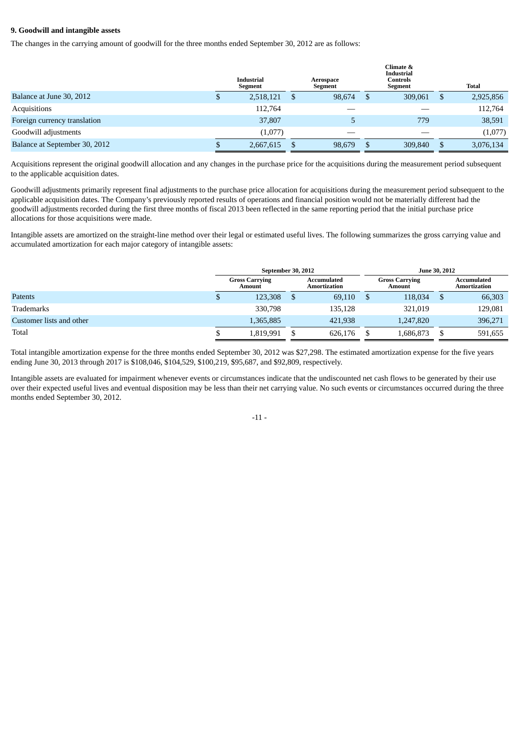#### **9. Goodwill and intangible assets**

The changes in the carrying amount of goodwill for the three months ended September 30, 2012 are as follows:

|                               | <b>Industrial</b><br>Segment | Aerospace<br>Segment |        |      | Climate &<br><b>Industrial</b><br><b>Controls</b><br>Segment |    | Total     |
|-------------------------------|------------------------------|----------------------|--------|------|--------------------------------------------------------------|----|-----------|
| Balance at June 30, 2012      | 2,518,121                    |                      | 98,674 | - \$ | 309,061                                                      | \$ | 2,925,856 |
| Acquisitions                  | 112,764                      |                      |        |      |                                                              |    | 112,764   |
| Foreign currency translation  | 37,807                       |                      |        |      | 779                                                          |    | 38,591    |
| Goodwill adjustments          | (1,077)                      |                      |        |      |                                                              |    | (1,077)   |
| Balance at September 30, 2012 | 2,667,615                    |                      | 98,679 | -S   | 309,840                                                      |    | 3,076,134 |

Acquisitions represent the original goodwill allocation and any changes in the purchase price for the acquisitions during the measurement period subsequent to the applicable acquisition dates.

Goodwill adjustments primarily represent final adjustments to the purchase price allocation for acquisitions during the measurement period subsequent to the applicable acquisition dates. The Company's previously reported results of operations and financial position would not be materially different had the goodwill adjustments recorded during the first three months of fiscal 2013 been reflected in the same reporting period that the initial purchase price allocations for those acquisitions were made.

Intangible assets are amortized on the straight-line method over their legal or estimated useful lives. The following summarizes the gross carrying value and accumulated amortization for each major category of intangible assets:

|                          | September 30, 2012 |                                 |  |                             | June 30, 2012 |                                 |  |                                    |
|--------------------------|--------------------|---------------------------------|--|-----------------------------|---------------|---------------------------------|--|------------------------------------|
|                          |                    | <b>Gross Carrying</b><br>Amount |  | Accumulated<br>Amortization |               | <b>Gross Carrying</b><br>Amount |  | Accumulated<br><b>Amortization</b> |
| Patents                  |                    | 123,308                         |  | 69,110                      |               | 118,034                         |  | 66,303                             |
| Trademarks               |                    | 330,798                         |  | 135,128                     |               | 321,019                         |  | 129,081                            |
| Customer lists and other |                    | 1,365,885                       |  | 421,938                     |               | 1,247,820                       |  | 396,271                            |
| Total                    |                    | 1,819,991                       |  | 626,176                     |               | 1,686,873                       |  | 591,655                            |

Total intangible amortization expense for the three months ended September 30, 2012 was \$27,298. The estimated amortization expense for the five years ending June 30, 2013 through 2017 is \$108,046, \$104,529, \$100,219, \$95,687, and \$92,809, respectively.

Intangible assets are evaluated for impairment whenever events or circumstances indicate that the undiscounted net cash flows to be generated by their use over their expected useful lives and eventual disposition may be less than their net carrying value. No such events or circumstances occurred during the three months ended September 30, 2012.

 $-11 -$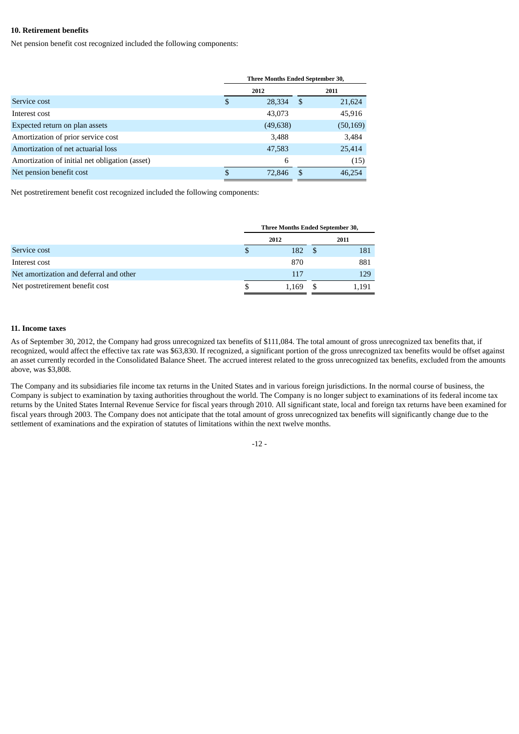#### **10. Retirement benefits**

Net pension benefit cost recognized included the following components:

|                                                | <b>Three Months Ended September 30,</b> |           |     |           |  |  |
|------------------------------------------------|-----------------------------------------|-----------|-----|-----------|--|--|
|                                                |                                         | 2012      |     | 2011      |  |  |
| Service cost                                   | \$                                      | 28,334    | -S  | 21,624    |  |  |
| Interest cost                                  |                                         | 43,073    |     | 45,916    |  |  |
| Expected return on plan assets                 |                                         | (49, 638) |     | (50, 169) |  |  |
| Amortization of prior service cost             |                                         | 3,488     |     | 3,484     |  |  |
| Amortization of net actuarial loss             |                                         | 47,583    |     | 25,414    |  |  |
| Amortization of initial net obligation (asset) |                                         | 6         |     | (15)      |  |  |
| Net pension benefit cost                       | \$                                      | 72,846    | -\$ | 46,254    |  |  |

Net postretirement benefit cost recognized included the following components:

|                                         | <b>Three Months Ended September 30,</b> |       |      |       |
|-----------------------------------------|-----------------------------------------|-------|------|-------|
|                                         |                                         | 2012  |      | 2011  |
| Service cost                            | Ъ                                       | 182   | - 55 | 181   |
| Interest cost                           |                                         | 870   |      | 881   |
| Net amortization and deferral and other |                                         | 117   |      | 129   |
| Net postretirement benefit cost         |                                         | 1.169 |      | 1,191 |

#### **11. Income taxes**

As of September 30, 2012, the Company had gross unrecognized tax benefits of \$111,084. The total amount of gross unrecognized tax benefits that, if recognized, would affect the effective tax rate was \$63,830. If recognized, a significant portion of the gross unrecognized tax benefits would be offset against an asset currently recorded in the Consolidated Balance Sheet. The accrued interest related to the gross unrecognized tax benefits, excluded from the amounts above, was \$3,808.

The Company and its subsidiaries file income tax returns in the United States and in various foreign jurisdictions. In the normal course of business, the Company is subject to examination by taxing authorities throughout the world. The Company is no longer subject to examinations of its federal income tax returns by the United States Internal Revenue Service for fiscal years through 2010. All significant state, local and foreign tax returns have been examined for fiscal years through 2003. The Company does not anticipate that the total amount of gross unrecognized tax benefits will significantly change due to the settlement of examinations and the expiration of statutes of limitations within the next twelve months.

 $-12 -$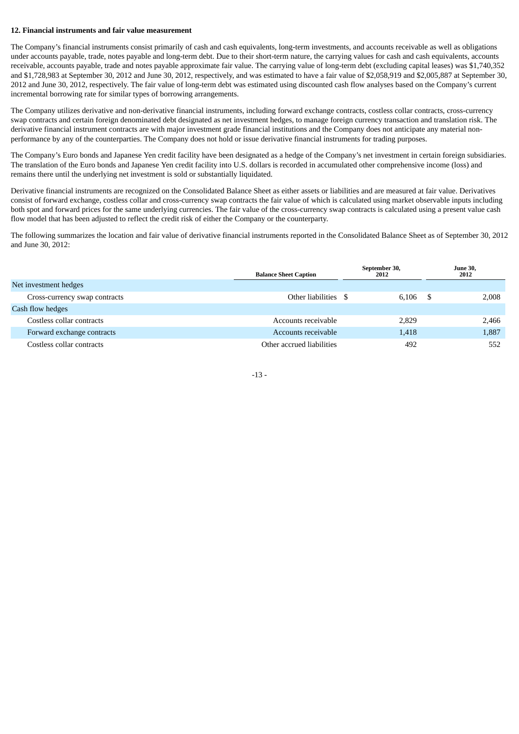#### **12. Financial instruments and fair value measurement**

The Company's financial instruments consist primarily of cash and cash equivalents, long-term investments, and accounts receivable as well as obligations under accounts payable, trade, notes payable and long-term debt. Due to their short-term nature, the carrying values for cash and cash equivalents, accounts receivable, accounts payable, trade and notes payable approximate fair value. The carrying value of long-term debt (excluding capital leases) was \$1,740,352 and \$1,728,983 at September 30, 2012 and June 30, 2012, respectively, and was estimated to have a fair value of \$2,058,919 and \$2,005,887 at September 30, 2012 and June 30, 2012, respectively. The fair value of long-term debt was estimated using discounted cash flow analyses based on the Company's current incremental borrowing rate for similar types of borrowing arrangements.

The Company utilizes derivative and non-derivative financial instruments, including forward exchange contracts, costless collar contracts, cross-currency swap contracts and certain foreign denominated debt designated as net investment hedges, to manage foreign currency transaction and translation risk. The derivative financial instrument contracts are with major investment grade financial institutions and the Company does not anticipate any material nonperformance by any of the counterparties. The Company does not hold or issue derivative financial instruments for trading purposes.

The Company's Euro bonds and Japanese Yen credit facility have been designated as a hedge of the Company's net investment in certain foreign subsidiaries. The translation of the Euro bonds and Japanese Yen credit facility into U.S. dollars is recorded in accumulated other comprehensive income (loss) and remains there until the underlying net investment is sold or substantially liquidated.

Derivative financial instruments are recognized on the Consolidated Balance Sheet as either assets or liabilities and are measured at fair value. Derivatives consist of forward exchange, costless collar and cross-currency swap contracts the fair value of which is calculated using market observable inputs including both spot and forward prices for the same underlying currencies. The fair value of the cross-currency swap contracts is calculated using a present value cash flow model that has been adjusted to reflect the credit risk of either the Company or the counterparty.

The following summarizes the location and fair value of derivative financial instruments reported in the Consolidated Balance Sheet as of September 30, 2012 and June 30, 2012:

|                               | <b>Balance Sheet Caption</b> | September 30,<br>2012 |    | <b>June 30,</b><br>2012 |
|-------------------------------|------------------------------|-----------------------|----|-------------------------|
| Net investment hedges         |                              |                       |    |                         |
| Cross-currency swap contracts | Other liabilities \$         | 6.106                 | -8 | 2,008                   |
| Cash flow hedges              |                              |                       |    |                         |
| Costless collar contracts     | Accounts receivable          | 2,829                 |    | 2,466                   |
| Forward exchange contracts    | Accounts receivable          | 1,418                 |    | 1,887                   |
| Costless collar contracts     | Other accrued liabilities    | 492                   |    | 552                     |

-13 -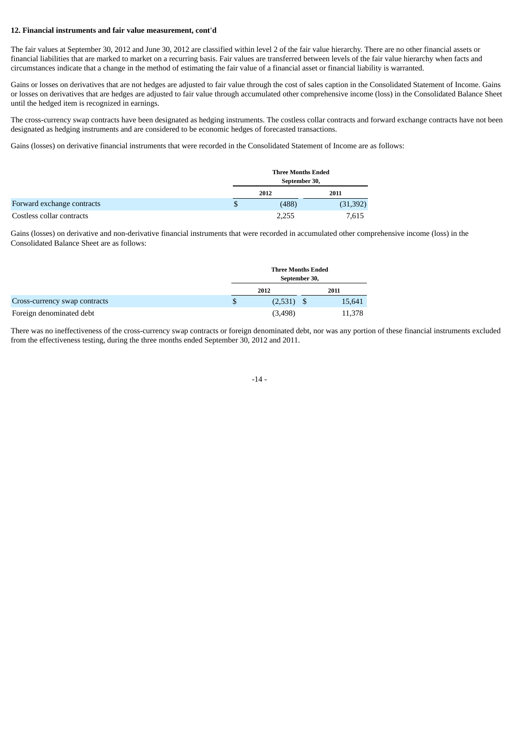#### **12. Financial instruments and fair value measurement, cont'd**

The fair values at September 30, 2012 and June 30, 2012 are classified within level 2 of the fair value hierarchy. There are no other financial assets or financial liabilities that are marked to market on a recurring basis. Fair values are transferred between levels of the fair value hierarchy when facts and circumstances indicate that a change in the method of estimating the fair value of a financial asset or financial liability is warranted.

Gains or losses on derivatives that are not hedges are adjusted to fair value through the cost of sales caption in the Consolidated Statement of Income. Gains or losses on derivatives that are hedges are adjusted to fair value through accumulated other comprehensive income (loss) in the Consolidated Balance Sheet until the hedged item is recognized in earnings.

The cross-currency swap contracts have been designated as hedging instruments. The costless collar contracts and forward exchange contracts have not been designated as hedging instruments and are considered to be economic hedges of forecasted transactions.

Gains (losses) on derivative financial instruments that were recorded in the Consolidated Statement of Income are as follows:

|                            | <b>Three Months Ended</b><br>September 30, |          |  |  |
|----------------------------|--------------------------------------------|----------|--|--|
|                            | 2012                                       | 2011     |  |  |
| Forward exchange contracts | \$<br>(488)                                | (31,392) |  |  |
| Costless collar contracts  | 2,255                                      | 7,615    |  |  |

Gains (losses) on derivative and non-derivative financial instruments that were recorded in accumulated other comprehensive income (loss) in the Consolidated Balance Sheet are as follows:

|                               | <b>Three Months Ended</b><br>September 30, |  |        |  |  |
|-------------------------------|--------------------------------------------|--|--------|--|--|
|                               | 2012                                       |  | 2011   |  |  |
| Cross-currency swap contracts | (2,531)                                    |  | 15,641 |  |  |
| Foreign denominated debt      | (3,498)                                    |  | 11,378 |  |  |

There was no ineffectiveness of the cross-currency swap contracts or foreign denominated debt, nor was any portion of these financial instruments excluded from the effectiveness testing, during the three months ended September 30, 2012 and 2011.

 $-14 -$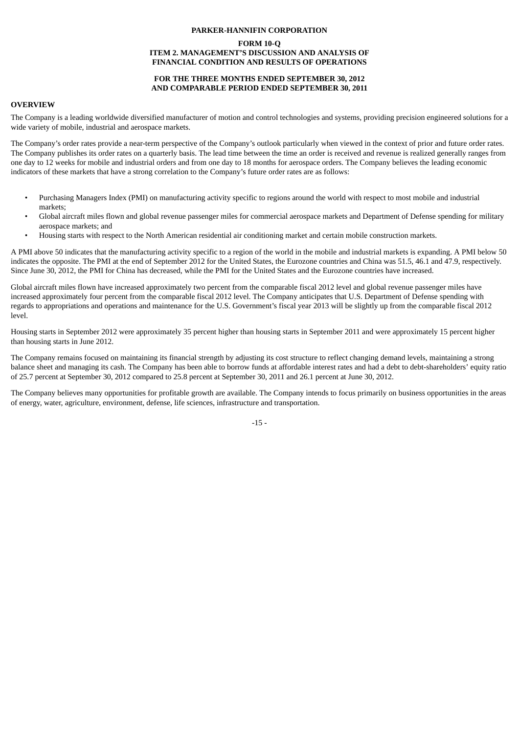#### **FORM 10-Q ITEM 2. MANAGEMENT'S DISCUSSION AND ANALYSIS OF FINANCIAL CONDITION AND RESULTS OF OPERATIONS**

#### **FOR THE THREE MONTHS ENDED SEPTEMBER 30, 2012 AND COMPARABLE PERIOD ENDED SEPTEMBER 30, 2011**

#### **OVERVIEW**

The Company is a leading worldwide diversified manufacturer of motion and control technologies and systems, providing precision engineered solutions for a wide variety of mobile, industrial and aerospace markets.

The Company's order rates provide a near-term perspective of the Company's outlook particularly when viewed in the context of prior and future order rates. The Company publishes its order rates on a quarterly basis. The lead time between the time an order is received and revenue is realized generally ranges from one day to 12 weeks for mobile and industrial orders and from one day to 18 months for aerospace orders. The Company believes the leading economic indicators of these markets that have a strong correlation to the Company's future order rates are as follows:

- Purchasing Managers Index (PMI) on manufacturing activity specific to regions around the world with respect to most mobile and industrial markets;
- Global aircraft miles flown and global revenue passenger miles for commercial aerospace markets and Department of Defense spending for military aerospace markets; and
- Housing starts with respect to the North American residential air conditioning market and certain mobile construction markets.

A PMI above 50 indicates that the manufacturing activity specific to a region of the world in the mobile and industrial markets is expanding. A PMI below 50 indicates the opposite. The PMI at the end of September 2012 for the United States, the Eurozone countries and China was 51.5, 46.1 and 47.9, respectively. Since June 30, 2012, the PMI for China has decreased, while the PMI for the United States and the Eurozone countries have increased.

Global aircraft miles flown have increased approximately two percent from the comparable fiscal 2012 level and global revenue passenger miles have increased approximately four percent from the comparable fiscal 2012 level. The Company anticipates that U.S. Department of Defense spending with regards to appropriations and operations and maintenance for the U.S. Government's fiscal year 2013 will be slightly up from the comparable fiscal 2012 level.

Housing starts in September 2012 were approximately 35 percent higher than housing starts in September 2011 and were approximately 15 percent higher than housing starts in June 2012.

The Company remains focused on maintaining its financial strength by adjusting its cost structure to reflect changing demand levels, maintaining a strong balance sheet and managing its cash. The Company has been able to borrow funds at affordable interest rates and had a debt to debt-shareholders' equity ratio of 25.7 percent at September 30, 2012 compared to 25.8 percent at September 30, 2011 and 26.1 percent at June 30, 2012.

The Company believes many opportunities for profitable growth are available. The Company intends to focus primarily on business opportunities in the areas of energy, water, agriculture, environment, defense, life sciences, infrastructure and transportation.

-15 -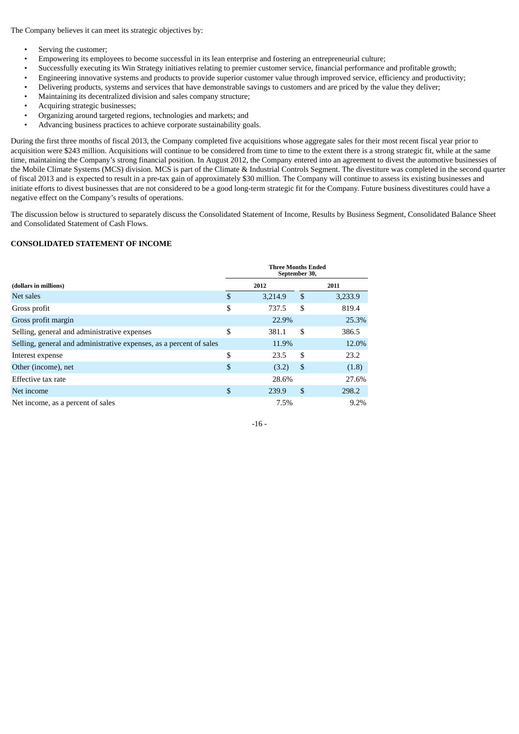The Company believes it can meet its strategic objectives by:

- Serving the customer;
- Empowering its employees to become successful in its lean enterprise and fostering an entrepreneurial culture;
- Successfully executing its Win Strategy initiatives relating to premier customer service, financial performance and profitable growth;
- Engineering innovative systems and products to provide superior customer value through improved service, efficiency and productivity;
- Delivering products, systems and services that have demonstrable savings to customers and are priced by the value they deliver;
- Maintaining its decentralized division and sales company structure;
- Acquiring strategic businesses;
- Organizing around targeted regions, technologies and markets; and
- Advancing business practices to achieve corporate sustainability goals.

During the first three months of fiscal 2013, the Company completed five acquisitions whose aggregate sales for their most recent fiscal year prior to acquisition were \$243 million. Acquisitions will continue to be considered from time to time to the extent there is a strong strategic fit, while at the same time, maintaining the Company's strong financial position. In August 2012, the Company entered into an agreement to divest the automotive businesses of the Mobile Climate Systems (MCS) division. MCS is part of the Climate & Industrial Controls Segment. The divestiture was completed in the second quarter of fiscal 2013 and is expected to result in a pre-tax gain of approximately \$30 million. The Company will continue to assess its existing businesses and initiate efforts to divest businesses that are not considered to be a good long-term strategic fit for the Company. Future business divestitures could have a negative effect on the Company's results of operations.

The discussion below is structured to separately discuss the Consolidated Statement of Income, Results by Business Segment, Consolidated Balance Sheet and Consolidated Statement of Cash Flows.

## **CONSOLIDATED STATEMENT OF INCOME**

|                                                                     | <b>Three Months Ended</b><br>September 30, |         |    |         |  |  |  |
|---------------------------------------------------------------------|--------------------------------------------|---------|----|---------|--|--|--|
| (dollars in millions)                                               |                                            | 2012    |    | 2011    |  |  |  |
| Net sales                                                           | \$                                         | 3,214.9 | \$ | 3,233.9 |  |  |  |
| Gross profit                                                        | \$                                         | 737.5   | \$ | 819.4   |  |  |  |
| Gross profit margin                                                 |                                            | 22.9%   |    | 25.3%   |  |  |  |
| Selling, general and administrative expenses                        | \$                                         | 381.1   | \$ | 386.5   |  |  |  |
| Selling, general and administrative expenses, as a percent of sales |                                            | 11.9%   |    | 12.0%   |  |  |  |
| Interest expense                                                    | \$                                         | 23.5    | \$ | 23.2    |  |  |  |
| Other (income), net                                                 | \$                                         | (3.2)   | \$ | (1.8)   |  |  |  |
| Effective tax rate                                                  |                                            | 28.6%   |    | 27.6%   |  |  |  |
| Net income                                                          | \$                                         | 239.9   | \$ | 298.2   |  |  |  |
| Net income, as a percent of sales                                   |                                            | 7.5%    |    | 9.2%    |  |  |  |

 $-16 -$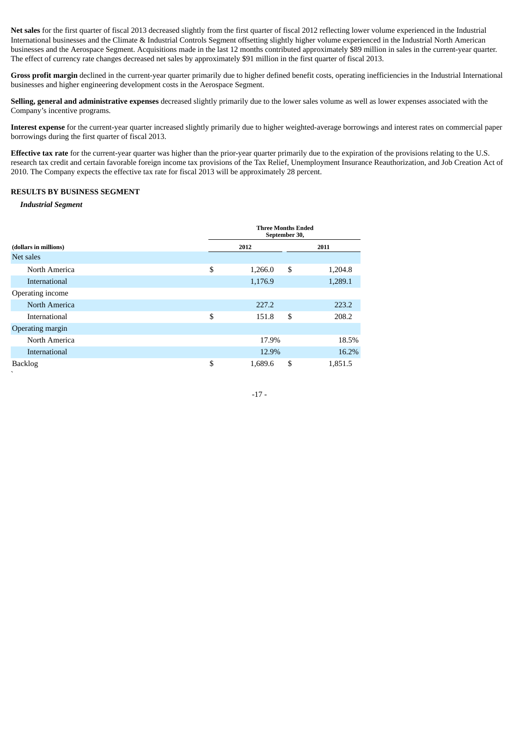**Net sales** for the first quarter of fiscal 2013 decreased slightly from the first quarter of fiscal 2012 reflecting lower volume experienced in the Industrial International businesses and the Climate & Industrial Controls Segment offsetting slightly higher volume experienced in the Industrial North American businesses and the Aerospace Segment. Acquisitions made in the last 12 months contributed approximately \$89 million in sales in the current-year quarter. The effect of currency rate changes decreased net sales by approximately \$91 million in the first quarter of fiscal 2013.

Gross profit margin declined in the current-year quarter primarily due to higher defined benefit costs, operating inefficiencies in the Industrial International businesses and higher engineering development costs in the Aerospace Segment.

**Selling, general and administrative expenses** decreased slightly primarily due to the lower sales volume as well as lower expenses associated with the Company's incentive programs.

**Interest expense** for the current-year quarter increased slightly primarily due to higher weighted-average borrowings and interest rates on commercial paper borrowings during the first quarter of fiscal 2013.

**Effective tax rate** for the current-year quarter was higher than the prior-year quarter primarily due to the expiration of the provisions relating to the U.S. research tax credit and certain favorable foreign income tax provisions of the Tax Relief, Unemployment Insurance Reauthorization, and Job Creation Act of 2010. The Company expects the effective tax rate for fiscal 2013 will be approximately 28 percent.

#### **RESULTS BY BUSINESS SEGMENT**

*Industrial Segment*

|                       |    | <b>Three Months Ended</b><br>September 30, |      |         |  |
|-----------------------|----|--------------------------------------------|------|---------|--|
| (dollars in millions) |    | 2012                                       | 2011 |         |  |
| Net sales             |    |                                            |      |         |  |
| North America         | \$ | 1,266.0                                    | \$   | 1,204.8 |  |
| International         |    | 1,176.9                                    |      | 1,289.1 |  |
| Operating income      |    |                                            |      |         |  |
| North America         |    | 227.2                                      |      | 223.2   |  |
| International         | \$ | 151.8                                      | \$   | 208.2   |  |
| Operating margin      |    |                                            |      |         |  |
| North America         |    | 17.9%                                      |      | 18.5%   |  |
| International         |    | 12.9%                                      |      | 16.2%   |  |
| <b>Backlog</b><br>╮   | \$ | 1,689.6                                    | \$   | 1,851.5 |  |

-17 -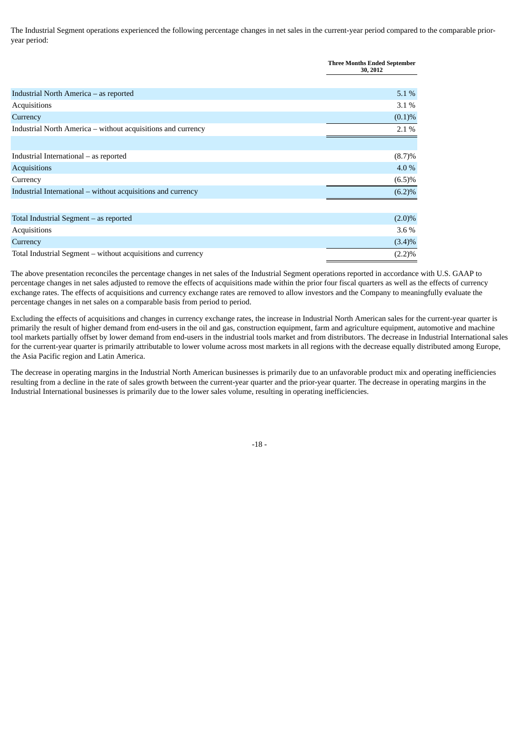The Industrial Segment operations experienced the following percentage changes in net sales in the current-year period compared to the comparable prioryear period:

|                                                              | <b>Three Months Ended September</b><br>30, 2012 |
|--------------------------------------------------------------|-------------------------------------------------|
|                                                              |                                                 |
| Industrial North America – as reported                       | $5.1\%$                                         |
| Acquisitions                                                 | $3.1\%$                                         |
| Currency                                                     | (0.1)%                                          |
| Industrial North America – without acquisitions and currency | 2.1%                                            |
|                                                              |                                                 |
| Industrial International – as reported                       | $(8.7)\%$                                       |
| Acquisitions                                                 | 4.0 %                                           |
| Currency                                                     | $(6.5)\%$                                       |
| Industrial International - without acquisitions and currency | (6.2)%                                          |
|                                                              |                                                 |
| Total Industrial Segment - as reported                       | $(2.0)\%$                                       |
| Acquisitions                                                 | $3.6\%$                                         |
| Currency                                                     | $(3.4)\%$                                       |
| Total Industrial Segment – without acquisitions and currency | (2.2)%                                          |

The above presentation reconciles the percentage changes in net sales of the Industrial Segment operations reported in accordance with U.S. GAAP to percentage changes in net sales adjusted to remove the effects of acquisitions made within the prior four fiscal quarters as well as the effects of currency exchange rates. The effects of acquisitions and currency exchange rates are removed to allow investors and the Company to meaningfully evaluate the percentage changes in net sales on a comparable basis from period to period.

Excluding the effects of acquisitions and changes in currency exchange rates, the increase in Industrial North American sales for the current-year quarter is primarily the result of higher demand from end-users in the oil and gas, construction equipment, farm and agriculture equipment, automotive and machine tool markets partially offset by lower demand from end-users in the industrial tools market and from distributors. The decrease in Industrial International sales for the current-year quarter is primarily attributable to lower volume across most markets in all regions with the decrease equally distributed among Europe, the Asia Pacific region and Latin America.

The decrease in operating margins in the Industrial North American businesses is primarily due to an unfavorable product mix and operating inefficiencies resulting from a decline in the rate of sales growth between the current-year quarter and the prior-year quarter. The decrease in operating margins in the Industrial International businesses is primarily due to the lower sales volume, resulting in operating inefficiencies.

-18 -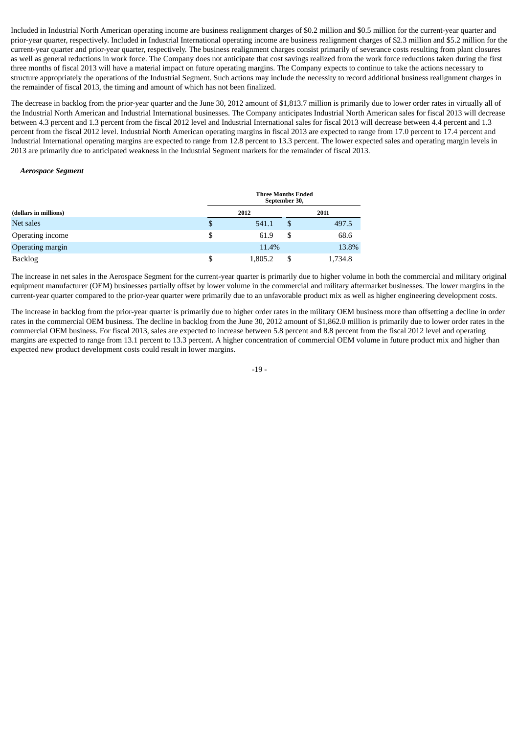Included in Industrial North American operating income are business realignment charges of \$0.2 million and \$0.5 million for the current-year quarter and prior-year quarter, respectively. Included in Industrial International operating income are business realignment charges of \$2.3 million and \$5.2 million for the current-year quarter and prior-year quarter, respectively. The business realignment charges consist primarily of severance costs resulting from plant closures as well as general reductions in work force. The Company does not anticipate that cost savings realized from the work force reductions taken during the first three months of fiscal 2013 will have a material impact on future operating margins. The Company expects to continue to take the actions necessary to structure appropriately the operations of the Industrial Segment. Such actions may include the necessity to record additional business realignment charges in the remainder of fiscal 2013, the timing and amount of which has not been finalized.

The decrease in backlog from the prior-year quarter and the June 30, 2012 amount of \$1,813.7 million is primarily due to lower order rates in virtually all of the Industrial North American and Industrial International businesses. The Company anticipates Industrial North American sales for fiscal 2013 will decrease between 4.3 percent and 1.3 percent from the fiscal 2012 level and Industrial International sales for fiscal 2013 will decrease between 4.4 percent and 1.3 percent from the fiscal 2012 level. Industrial North American operating margins in fiscal 2013 are expected to range from 17.0 percent to 17.4 percent and Industrial International operating margins are expected to range from 12.8 percent to 13.3 percent. The lower expected sales and operating margin levels in 2013 are primarily due to anticipated weakness in the Industrial Segment markets for the remainder of fiscal 2013.

#### *Aerospace Segment*

|                       | <b>Three Months Ended</b><br>September 30, |   |         |  |  |  |  |  |
|-----------------------|--------------------------------------------|---|---------|--|--|--|--|--|
| (dollars in millions) | 2012                                       |   | 2011    |  |  |  |  |  |
| Net sales             | \$<br>541.1                                |   | 497.5   |  |  |  |  |  |
| Operating income      | \$<br>61.9                                 | S | 68.6    |  |  |  |  |  |
| Operating margin      | 11.4%                                      |   | 13.8%   |  |  |  |  |  |
| Backlog               | \$<br>1.805.2                              |   | 1,734.8 |  |  |  |  |  |

The increase in net sales in the Aerospace Segment for the current-year quarter is primarily due to higher volume in both the commercial and military original equipment manufacturer (OEM) businesses partially offset by lower volume in the commercial and military aftermarket businesses. The lower margins in the current-year quarter compared to the prior-year quarter were primarily due to an unfavorable product mix as well as higher engineering development costs.

The increase in backlog from the prior-year quarter is primarily due to higher order rates in the military OEM business more than offsetting a decline in order rates in the commercial OEM business. The decline in backlog from the June 30, 2012 amount of \$1,862.0 million is primarily due to lower order rates in the commercial OEM business. For fiscal 2013, sales are expected to increase between 5.8 percent and 8.8 percent from the fiscal 2012 level and operating margins are expected to range from 13.1 percent to 13.3 percent. A higher concentration of commercial OEM volume in future product mix and higher than expected new product development costs could result in lower margins.

-19 -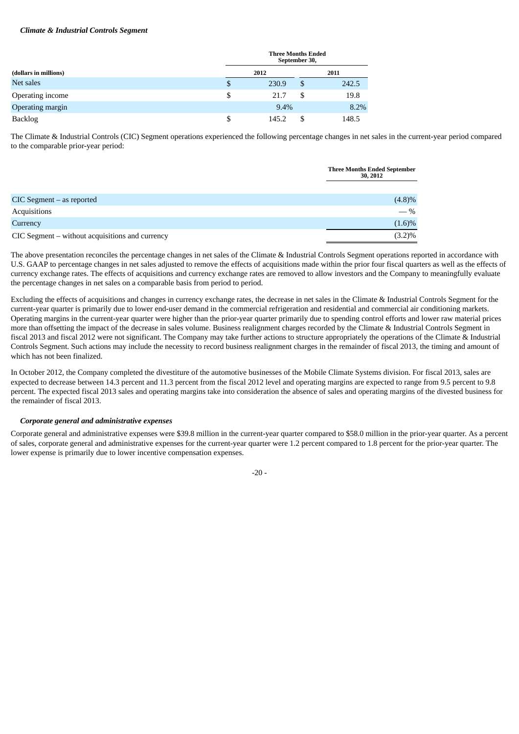#### *Climate & Industrial Controls Segment*

|                       | <b>Three Months Ended</b><br>September 30, |       |    |       |  |  |
|-----------------------|--------------------------------------------|-------|----|-------|--|--|
| (dollars in millions) |                                            | 2012  |    | 2011  |  |  |
| Net sales             | S                                          | 230.9 | \$ | 242.5 |  |  |
| Operating income      | \$                                         | 21.7  | S  | 19.8  |  |  |
| Operating margin      |                                            | 9.4%  |    | 8.2%  |  |  |
| <b>Backlog</b>        | S                                          | 145.2 | S  | 148.5 |  |  |

The Climate & Industrial Controls (CIC) Segment operations experienced the following percentage changes in net sales in the current-year period compared to the comparable prior-year period:

|                                                 | <b>Three Months Ended September</b><br>30, 2012 |
|-------------------------------------------------|-------------------------------------------------|
|                                                 |                                                 |
| $CIC$ Segment $-$ as reported                   | (4.8)%                                          |
| Acquisitions                                    | $-$ %                                           |
| Currency                                        | $(1.6)\%$                                       |
| CIC Segment – without acquisitions and currency | $(3.2)\%$                                       |

The above presentation reconciles the percentage changes in net sales of the Climate & Industrial Controls Segment operations reported in accordance with U.S. GAAP to percentage changes in net sales adjusted to remove the effects of acquisitions made within the prior four fiscal quarters as well as the effects of currency exchange rates. The effects of acquisitions and currency exchange rates are removed to allow investors and the Company to meaningfully evaluate the percentage changes in net sales on a comparable basis from period to period.

Excluding the effects of acquisitions and changes in currency exchange rates, the decrease in net sales in the Climate & Industrial Controls Segment for the current-year quarter is primarily due to lower end-user demand in the commercial refrigeration and residential and commercial air conditioning markets. Operating margins in the current-year quarter were higher than the prior-year quarter primarily due to spending control efforts and lower raw material prices more than offsetting the impact of the decrease in sales volume. Business realignment charges recorded by the Climate & Industrial Controls Segment in fiscal 2013 and fiscal 2012 were not significant. The Company may take further actions to structure appropriately the operations of the Climate & Industrial Controls Segment. Such actions may include the necessity to record business realignment charges in the remainder of fiscal 2013, the timing and amount of which has not been finalized.

In October 2012, the Company completed the divestiture of the automotive businesses of the Mobile Climate Systems division. For fiscal 2013, sales are expected to decrease between 14.3 percent and 11.3 percent from the fiscal 2012 level and operating margins are expected to range from 9.5 percent to 9.8 percent. The expected fiscal 2013 sales and operating margins take into consideration the absence of sales and operating margins of the divested business for the remainder of fiscal 2013.

#### *Corporate general and administrative expenses*

Corporate general and administrative expenses were \$39.8 million in the current-year quarter compared to \$58.0 million in the prior-year quarter. As a percent of sales, corporate general and administrative expenses for the current-year quarter were 1.2 percent compared to 1.8 percent for the prior-year quarter. The lower expense is primarily due to lower incentive compensation expenses.

 $-20 -$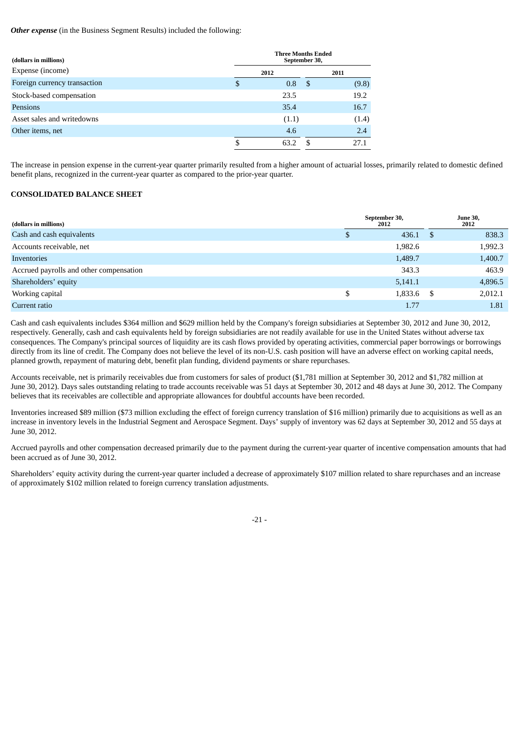*Other expense* (in the Business Segment Results) included the following:

| (dollars in millions)        |      | <b>Three Months Ended</b><br>September 30, |    |       |  |  |  |  |  |
|------------------------------|------|--------------------------------------------|----|-------|--|--|--|--|--|
| Expense (income)             | 2012 |                                            |    | 2011  |  |  |  |  |  |
| Foreign currency transaction | S    | 0.8                                        | -5 | (9.8) |  |  |  |  |  |
| Stock-based compensation     |      | 23.5                                       |    | 19.2  |  |  |  |  |  |
| <b>Pensions</b>              |      | 35.4                                       |    | 16.7  |  |  |  |  |  |
| Asset sales and writedowns   |      | (1.1)                                      |    | (1.4) |  |  |  |  |  |
| Other items, net             |      | 4.6                                        |    | 2.4   |  |  |  |  |  |
|                              | \$   | 63                                         |    | 27.1  |  |  |  |  |  |

The increase in pension expense in the current-year quarter primarily resulted from a higher amount of actuarial losses, primarily related to domestic defined benefit plans, recognized in the current-year quarter as compared to the prior-year quarter.

#### **CONSOLIDATED BALANCE SHEET**

| (dollars in millions)                   |    | September 30,<br>2012 | <b>June 30,</b><br>2012 |         |  |
|-----------------------------------------|----|-----------------------|-------------------------|---------|--|
| Cash and cash equivalents               | S. | 436.1                 | -S                      | 838.3   |  |
| Accounts receivable, net                |    | 1,982.6               |                         | 1,992.3 |  |
| Inventories                             |    | 1,489.7               |                         | 1,400.7 |  |
| Accrued payrolls and other compensation |    | 343.3                 |                         | 463.9   |  |
| Shareholders' equity                    |    | 5,141.1               |                         | 4,896.5 |  |
| Working capital                         | \$ | 1,833.6               | S                       | 2,012.1 |  |
| Current ratio                           |    | 1.77                  |                         | 1.81    |  |

Cash and cash equivalents includes \$364 million and \$629 million held by the Company's foreign subsidiaries at September 30, 2012 and June 30, 2012, respectively. Generally, cash and cash equivalents held by foreign subsidiaries are not readily available for use in the United States without adverse tax consequences. The Company's principal sources of liquidity are its cash flows provided by operating activities, commercial paper borrowings or borrowings directly from its line of credit. The Company does not believe the level of its non-U.S. cash position will have an adverse effect on working capital needs, planned growth, repayment of maturing debt, benefit plan funding, dividend payments or share repurchases.

Accounts receivable, net is primarily receivables due from customers for sales of product (\$1,781 million at September 30, 2012 and \$1,782 million at June 30, 2012). Days sales outstanding relating to trade accounts receivable was 51 days at September 30, 2012 and 48 days at June 30, 2012. The Company believes that its receivables are collectible and appropriate allowances for doubtful accounts have been recorded.

Inventories increased \$89 million (\$73 million excluding the effect of foreign currency translation of \$16 million) primarily due to acquisitions as well as an increase in inventory levels in the Industrial Segment and Aerospace Segment. Days' supply of inventory was 62 days at September 30, 2012 and 55 days at June 30, 2012.

Accrued payrolls and other compensation decreased primarily due to the payment during the current-year quarter of incentive compensation amounts that had been accrued as of June 30, 2012.

Shareholders' equity activity during the current-year quarter included a decrease of approximately \$107 million related to share repurchases and an increase of approximately \$102 million related to foreign currency translation adjustments.

 $-21 -$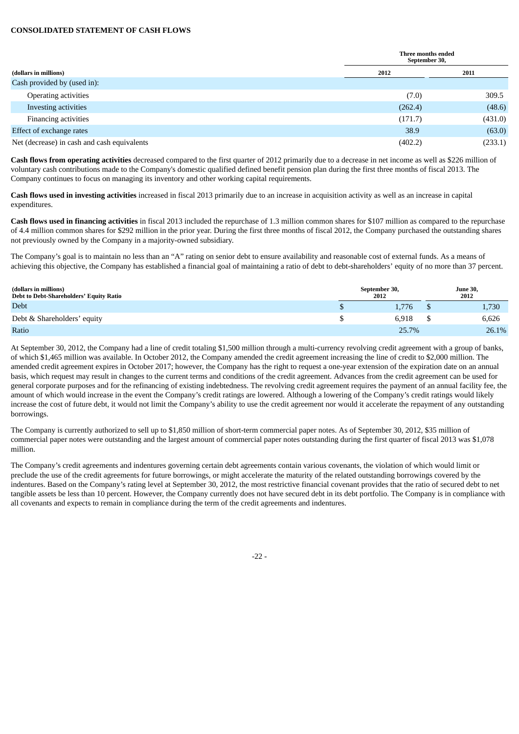#### **CONSOLIDATED STATEMENT OF CASH FLOWS**

|                                             |         | Three months ended<br>September 30, |  |  |  |  |  |
|---------------------------------------------|---------|-------------------------------------|--|--|--|--|--|
| (dollars in millions)                       | 2012    | 2011                                |  |  |  |  |  |
| Cash provided by (used in):                 |         |                                     |  |  |  |  |  |
| Operating activities                        | (7.0)   | 309.5                               |  |  |  |  |  |
| Investing activities                        | (262.4) | (48.6)                              |  |  |  |  |  |
| <b>Financing activities</b>                 | (171.7) | (431.0)                             |  |  |  |  |  |
| Effect of exchange rates                    | 38.9    | (63.0)                              |  |  |  |  |  |
| Net (decrease) in cash and cash equivalents | (402.2) | (233.1)                             |  |  |  |  |  |

**Cash flows from operating activities** decreased compared to the first quarter of 2012 primarily due to a decrease in net income as well as \$226 million of voluntary cash contributions made to the Company's domestic qualified defined benefit pension plan during the first three months of fiscal 2013. The Company continues to focus on managing its inventory and other working capital requirements.

**Cash flows used in investing activities** increased in fiscal 2013 primarily due to an increase in acquisition activity as well as an increase in capital expenditures.

**Cash flows used in financing activities** in fiscal 2013 included the repurchase of 1.3 million common shares for \$107 million as compared to the repurchase of 4.4 million common shares for \$292 million in the prior year. During the first three months of fiscal 2012, the Company purchased the outstanding shares not previously owned by the Company in a majority-owned subsidiary.

The Company's goal is to maintain no less than an "A" rating on senior debt to ensure availability and reasonable cost of external funds. As a means of achieving this objective, the Company has established a financial goal of maintaining a ratio of debt to debt-shareholders' equity of no more than 37 percent.

| (dollars in millions)<br>Debt to Debt-Shareholders' Equity Ratio | September 30,<br>2012 | <b>June 30,</b><br>2012 |       |  |
|------------------------------------------------------------------|-----------------------|-------------------------|-------|--|
| <b>Debt</b>                                                      | 1.776                 |                         | 1,730 |  |
| Debt & Shareholders' equity                                      | 6.918                 |                         | 6,626 |  |
| Ratio                                                            | 25.7%                 |                         | 26.1% |  |

At September 30, 2012, the Company had a line of credit totaling \$1,500 million through a multi-currency revolving credit agreement with a group of banks, of which \$1,465 million was available. In October 2012, the Company amended the credit agreement increasing the line of credit to \$2,000 million. The amended credit agreement expires in October 2017; however, the Company has the right to request a one-year extension of the expiration date on an annual basis, which request may result in changes to the current terms and conditions of the credit agreement. Advances from the credit agreement can be used for general corporate purposes and for the refinancing of existing indebtedness. The revolving credit agreement requires the payment of an annual facility fee, the amount of which would increase in the event the Company's credit ratings are lowered. Although a lowering of the Company's credit ratings would likely increase the cost of future debt, it would not limit the Company's ability to use the credit agreement nor would it accelerate the repayment of any outstanding borrowings.

The Company is currently authorized to sell up to \$1,850 million of short-term commercial paper notes. As of September 30, 2012, \$35 million of commercial paper notes were outstanding and the largest amount of commercial paper notes outstanding during the first quarter of fiscal 2013 was \$1,078 million.

The Company's credit agreements and indentures governing certain debt agreements contain various covenants, the violation of which would limit or preclude the use of the credit agreements for future borrowings, or might accelerate the maturity of the related outstanding borrowings covered by the indentures. Based on the Company's rating level at September 30, 2012, the most restrictive financial covenant provides that the ratio of secured debt to net tangible assets be less than 10 percent. However, the Company currently does not have secured debt in its debt portfolio. The Company is in compliance with all covenants and expects to remain in compliance during the term of the credit agreements and indentures.

-22 -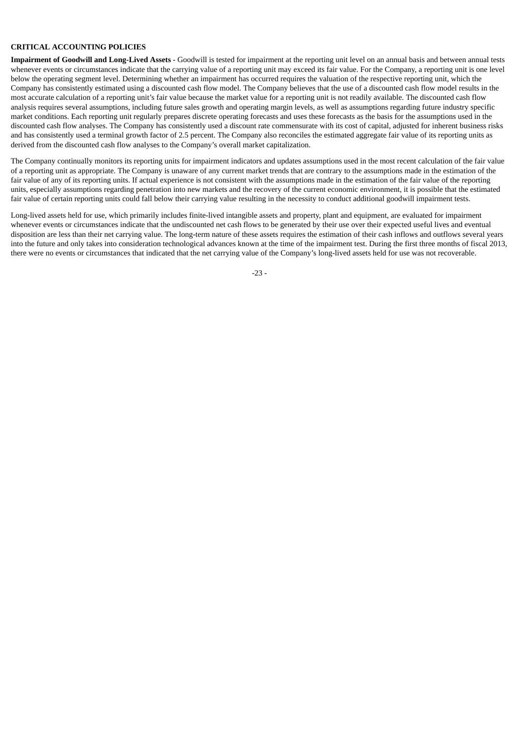#### **CRITICAL ACCOUNTING POLICIES**

**Impairment of Goodwill and Long-Lived Assets** - Goodwill is tested for impairment at the reporting unit level on an annual basis and between annual tests whenever events or circumstances indicate that the carrying value of a reporting unit may exceed its fair value. For the Company, a reporting unit is one level below the operating segment level. Determining whether an impairment has occurred requires the valuation of the respective reporting unit, which the Company has consistently estimated using a discounted cash flow model. The Company believes that the use of a discounted cash flow model results in the most accurate calculation of a reporting unit's fair value because the market value for a reporting unit is not readily available. The discounted cash flow analysis requires several assumptions, including future sales growth and operating margin levels, as well as assumptions regarding future industry specific market conditions. Each reporting unit regularly prepares discrete operating forecasts and uses these forecasts as the basis for the assumptions used in the discounted cash flow analyses. The Company has consistently used a discount rate commensurate with its cost of capital, adjusted for inherent business risks and has consistently used a terminal growth factor of 2.5 percent. The Company also reconciles the estimated aggregate fair value of its reporting units as derived from the discounted cash flow analyses to the Company's overall market capitalization.

The Company continually monitors its reporting units for impairment indicators and updates assumptions used in the most recent calculation of the fair value of a reporting unit as appropriate. The Company is unaware of any current market trends that are contrary to the assumptions made in the estimation of the fair value of any of its reporting units. If actual experience is not consistent with the assumptions made in the estimation of the fair value of the reporting units, especially assumptions regarding penetration into new markets and the recovery of the current economic environment, it is possible that the estimated fair value of certain reporting units could fall below their carrying value resulting in the necessity to conduct additional goodwill impairment tests.

Long-lived assets held for use, which primarily includes finite-lived intangible assets and property, plant and equipment, are evaluated for impairment whenever events or circumstances indicate that the undiscounted net cash flows to be generated by their use over their expected useful lives and eventual disposition are less than their net carrying value. The long-term nature of these assets requires the estimation of their cash inflows and outflows several years into the future and only takes into consideration technological advances known at the time of the impairment test. During the first three months of fiscal 2013, there were no events or circumstances that indicated that the net carrying value of the Company's long-lived assets held for use was not recoverable.

-23 -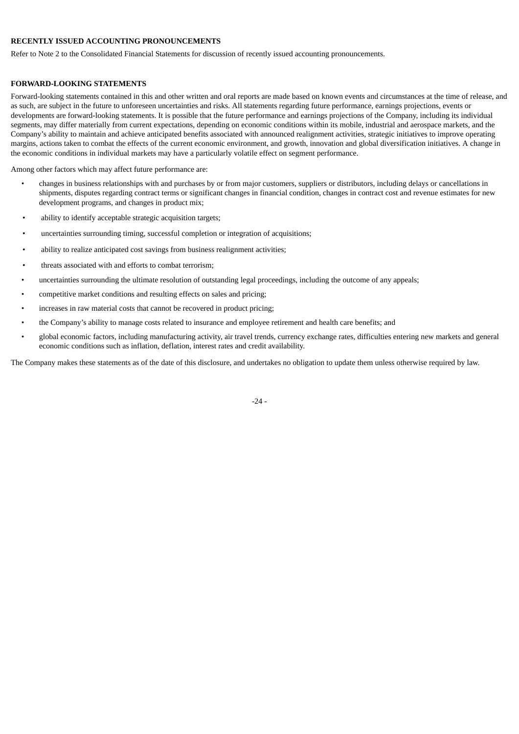#### **RECENTLY ISSUED ACCOUNTING PRONOUNCEMENTS**

Refer to Note 2 to the Consolidated Financial Statements for discussion of recently issued accounting pronouncements.

#### **FORWARD-LOOKING STATEMENTS**

Forward-looking statements contained in this and other written and oral reports are made based on known events and circumstances at the time of release, and as such, are subject in the future to unforeseen uncertainties and risks. All statements regarding future performance, earnings projections, events or developments are forward-looking statements. It is possible that the future performance and earnings projections of the Company, including its individual segments, may differ materially from current expectations, depending on economic conditions within its mobile, industrial and aerospace markets, and the Company's ability to maintain and achieve anticipated benefits associated with announced realignment activities, strategic initiatives to improve operating margins, actions taken to combat the effects of the current economic environment, and growth, innovation and global diversification initiatives. A change in the economic conditions in individual markets may have a particularly volatile effect on segment performance.

Among other factors which may affect future performance are:

- changes in business relationships with and purchases by or from major customers, suppliers or distributors, including delays or cancellations in shipments, disputes regarding contract terms or significant changes in financial condition, changes in contract cost and revenue estimates for new development programs, and changes in product mix;
- ability to identify acceptable strategic acquisition targets;
- uncertainties surrounding timing, successful completion or integration of acquisitions;
- ability to realize anticipated cost savings from business realignment activities;
- threats associated with and efforts to combat terrorism;
- uncertainties surrounding the ultimate resolution of outstanding legal proceedings, including the outcome of any appeals;
- competitive market conditions and resulting effects on sales and pricing;
- increases in raw material costs that cannot be recovered in product pricing;
- the Company's ability to manage costs related to insurance and employee retirement and health care benefits; and
- global economic factors, including manufacturing activity, air travel trends, currency exchange rates, difficulties entering new markets and general economic conditions such as inflation, deflation, interest rates and credit availability.

The Company makes these statements as of the date of this disclosure, and undertakes no obligation to update them unless otherwise required by law.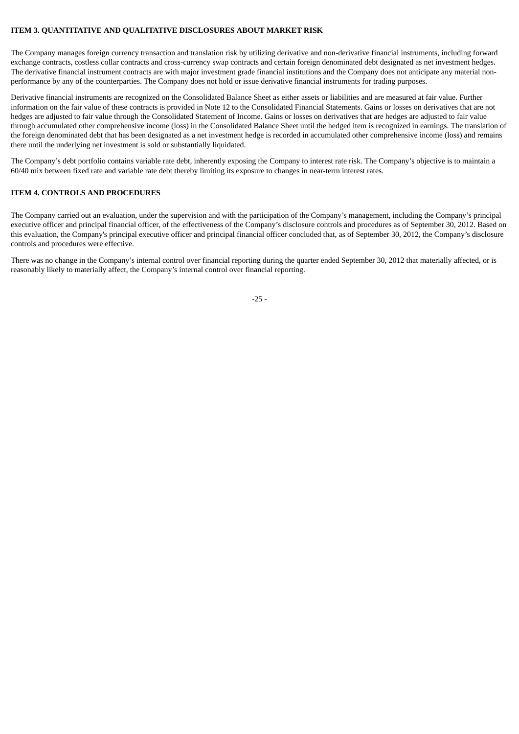#### **ITEM 3. QUANTITATIVE AND QUALITATIVE DISCLOSURES ABOUT MARKET RISK**

The Company manages foreign currency transaction and translation risk by utilizing derivative and non-derivative financial instruments, including forward exchange contracts, costless collar contracts and cross-currency swap contracts and certain foreign denominated debt designated as net investment hedges. The derivative financial instrument contracts are with major investment grade financial institutions and the Company does not anticipate any material nonperformance by any of the counterparties. The Company does not hold or issue derivative financial instruments for trading purposes.

Derivative financial instruments are recognized on the Consolidated Balance Sheet as either assets or liabilities and are measured at fair value. Further information on the fair value of these contracts is provided in Note 12 to the Consolidated Financial Statements. Gains or losses on derivatives that are not hedges are adjusted to fair value through the Consolidated Statement of Income. Gains or losses on derivatives that are hedges are adjusted to fair value through accumulated other comprehensive income (loss) in the Consolidated Balance Sheet until the hedged item is recognized in earnings. The translation of the foreign denominated debt that has been designated as a net investment hedge is recorded in accumulated other comprehensive income (loss) and remains there until the underlying net investment is sold or substantially liquidated.

The Company's debt portfolio contains variable rate debt, inherently exposing the Company to interest rate risk. The Company's objective is to maintain a 60/40 mix between fixed rate and variable rate debt thereby limiting its exposure to changes in near-term interest rates.

#### **ITEM 4. CONTROLS AND PROCEDURES**

The Company carried out an evaluation, under the supervision and with the participation of the Company's management, including the Company's principal executive officer and principal financial officer, of the effectiveness of the Company's disclosure controls and procedures as of September 30, 2012. Based on this evaluation, the Company's principal executive officer and principal financial officer concluded that, as of September 30, 2012, the Company's disclosure controls and procedures were effective.

There was no change in the Company's internal control over financial reporting during the quarter ended September 30, 2012 that materially affected, or is reasonably likely to materially affect, the Company's internal control over financial reporting.

-25 -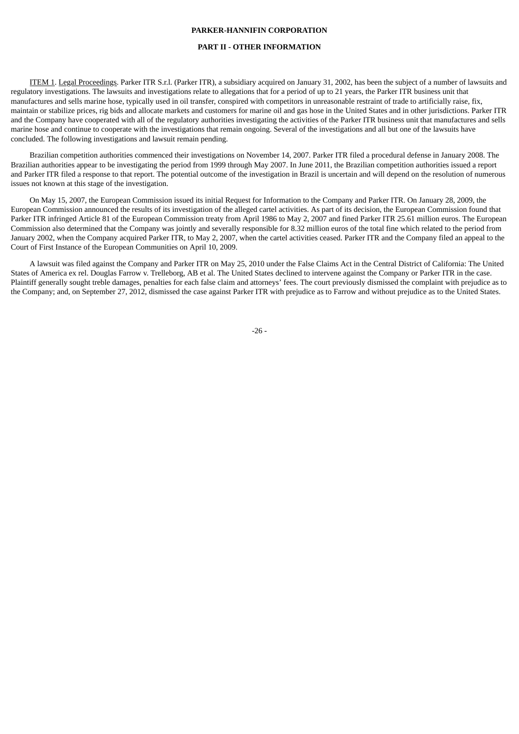#### **PART II - OTHER INFORMATION**

ITEM 1. Legal Proceedings. Parker ITR S.r.l. (Parker ITR), a subsidiary acquired on January 31, 2002, has been the subject of a number of lawsuits and regulatory investigations. The lawsuits and investigations relate to allegations that for a period of up to 21 years, the Parker ITR business unit that manufactures and sells marine hose, typically used in oil transfer, conspired with competitors in unreasonable restraint of trade to artificially raise, fix, maintain or stabilize prices, rig bids and allocate markets and customers for marine oil and gas hose in the United States and in other jurisdictions. Parker ITR and the Company have cooperated with all of the regulatory authorities investigating the activities of the Parker ITR business unit that manufactures and sells marine hose and continue to cooperate with the investigations that remain ongoing. Several of the investigations and all but one of the lawsuits have concluded. The following investigations and lawsuit remain pending.

Brazilian competition authorities commenced their investigations on November 14, 2007. Parker ITR filed a procedural defense in January 2008. The Brazilian authorities appear to be investigating the period from 1999 through May 2007. In June 2011, the Brazilian competition authorities issued a report and Parker ITR filed a response to that report. The potential outcome of the investigation in Brazil is uncertain and will depend on the resolution of numerous issues not known at this stage of the investigation.

On May 15, 2007, the European Commission issued its initial Request for Information to the Company and Parker ITR. On January 28, 2009, the European Commission announced the results of its investigation of the alleged cartel activities. As part of its decision, the European Commission found that Parker ITR infringed Article 81 of the European Commission treaty from April 1986 to May 2, 2007 and fined Parker ITR 25.61 million euros. The European Commission also determined that the Company was jointly and severally responsible for 8.32 million euros of the total fine which related to the period from January 2002, when the Company acquired Parker ITR, to May 2, 2007, when the cartel activities ceased. Parker ITR and the Company filed an appeal to the Court of First Instance of the European Communities on April 10, 2009.

A lawsuit was filed against the Company and Parker ITR on May 25, 2010 under the False Claims Act in the Central District of California: The United States of America ex rel. Douglas Farrow v. Trelleborg, AB et al. The United States declined to intervene against the Company or Parker ITR in the case. Plaintiff generally sought treble damages, penalties for each false claim and attorneys' fees. The court previously dismissed the complaint with prejudice as to the Company; and, on September 27, 2012, dismissed the case against Parker ITR with prejudice as to Farrow and without prejudice as to the United States.

 $-26 -$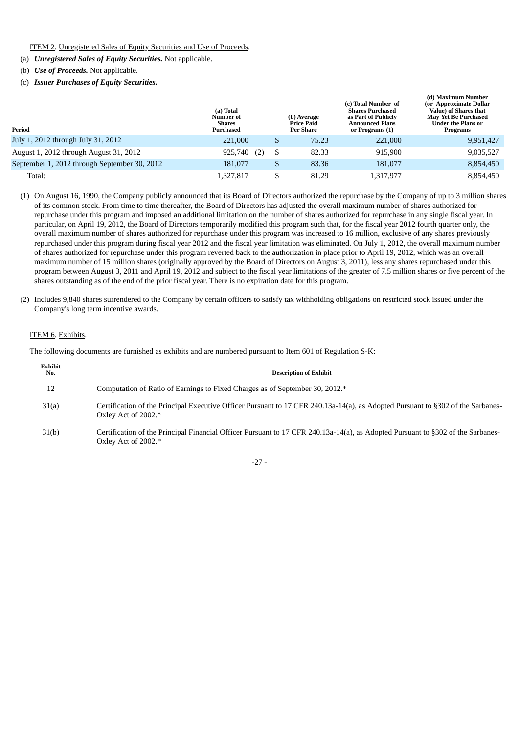#### ITEM 2. Unregistered Sales of Equity Securities and Use of Proceeds.

(a) *Unregistered Sales of Equity Securities.* Not applicable.

- (b) *Use of Proceeds.* Not applicable.
- (c) *Issuer Purchases of Equity Securities.*

| Period                                       | (a) Total<br>Number of<br><b>Shares</b><br>Purchased |    | (b) Average<br>Price Paid<br><b>Per Share</b> | (c) Total Number of<br><b>Shares Purchased</b><br>as Part of Publicly<br>Announced Plans<br>or Programs (1) | (d) Maximum Number<br>(or Approximate Dollar<br>Value) of Shares that<br><b>May Yet Be Purchased</b><br>Under the Plans or<br>Programs |  |  |
|----------------------------------------------|------------------------------------------------------|----|-----------------------------------------------|-------------------------------------------------------------------------------------------------------------|----------------------------------------------------------------------------------------------------------------------------------------|--|--|
| July 1, 2012 through July 31, 2012           | 221,000                                              | \$ | 75.23                                         | 221,000                                                                                                     | 9,951,427                                                                                                                              |  |  |
| August 1, 2012 through August 31, 2012       | 925,740<br>(2)                                       | \$ | 82.33                                         | 915.900                                                                                                     | 9,035,527                                                                                                                              |  |  |
| September 1, 2012 through September 30, 2012 | 181,077                                              | \$ | 83.36                                         | 181,077                                                                                                     | 8,854,450                                                                                                                              |  |  |
| Total:                                       | 1,327,817                                            | \$ | 81.29                                         | 1,317,977                                                                                                   | 8,854,450                                                                                                                              |  |  |

- (1) On August 16, 1990, the Company publicly announced that its Board of Directors authorized the repurchase by the Company of up to 3 million shares of its common stock. From time to time thereafter, the Board of Directors has adjusted the overall maximum number of shares authorized for repurchase under this program and imposed an additional limitation on the number of shares authorized for repurchase in any single fiscal year. In particular, on April 19, 2012, the Board of Directors temporarily modified this program such that, for the fiscal year 2012 fourth quarter only, the overall maximum number of shares authorized for repurchase under this program was increased to 16 million, exclusive of any shares previously repurchased under this program during fiscal year 2012 and the fiscal year limitation was eliminated. On July 1, 2012, the overall maximum number of shares authorized for repurchase under this program reverted back to the authorization in place prior to April 19, 2012, which was an overall maximum number of 15 million shares (originally approved by the Board of Directors on August 3, 2011), less any shares repurchased under this program between August 3, 2011 and April 19, 2012 and subject to the fiscal year limitations of the greater of 7.5 million shares or five percent of the shares outstanding as of the end of the prior fiscal year. There is no expiration date for this program.
- (2) Includes 9,840 shares surrendered to the Company by certain officers to satisfy tax withholding obligations on restricted stock issued under the Company's long term incentive awards.

#### ITEM 6. Exhibits.

The following documents are furnished as exhibits and are numbered pursuant to Item 601 of Regulation S-K:

| Exhibit<br>No. | <b>Description of Exhibit</b>                                                                                                                          |
|----------------|--------------------------------------------------------------------------------------------------------------------------------------------------------|
| 12             | Computation of Ratio of Earnings to Fixed Charges as of September 30, 2012.*                                                                           |
| 31(a)          | Certification of the Principal Executive Officer Pursuant to 17 CFR 240.13a-14(a), as Adopted Pursuant to §302 of the Sarbanes-<br>Oxley Act of 2002.* |
| 31(b)          | Certification of the Principal Financial Officer Pursuant to 17 CFR 240.13a-14(a), as Adopted Pursuant to §302 of the Sarbanes-<br>Oxley Act of 2002.* |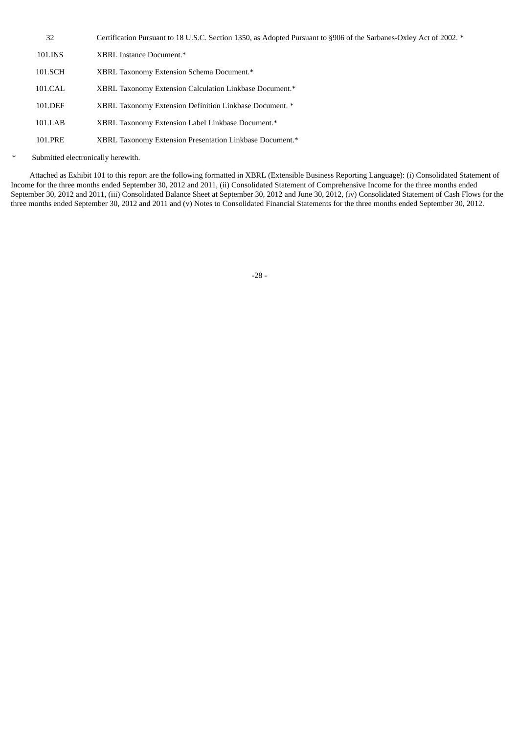- 32 Certification Pursuant to 18 U.S.C. Section 1350, as Adopted Pursuant to §906 of the Sarbanes-Oxley Act of 2002. \* 101.INS XBRL Instance Document.\*
- 101.SCH XBRL Taxonomy Extension Schema Document.\*
- 101.CAL XBRL Taxonomy Extension Calculation Linkbase Document.\*
- 101.DEF XBRL Taxonomy Extension Definition Linkbase Document. \*
- 101.LAB XBRL Taxonomy Extension Label Linkbase Document.\*
- 101.PRE XBRL Taxonomy Extension Presentation Linkbase Document.\*
- Submitted electronically herewith.

Attached as Exhibit 101 to this report are the following formatted in XBRL (Extensible Business Reporting Language): (i) Consolidated Statement of Income for the three months ended September 30, 2012 and 2011, (ii) Consolidated Statement of Comprehensive Income for the three months ended September 30, 2012 and 2011, (iii) Consolidated Balance Sheet at September 30, 2012 and June 30, 2012, (iv) Consolidated Statement of Cash Flows for the three months ended September 30, 2012 and 2011 and (v) Notes to Consolidated Financial Statements for the three months ended September 30, 2012.

-28 -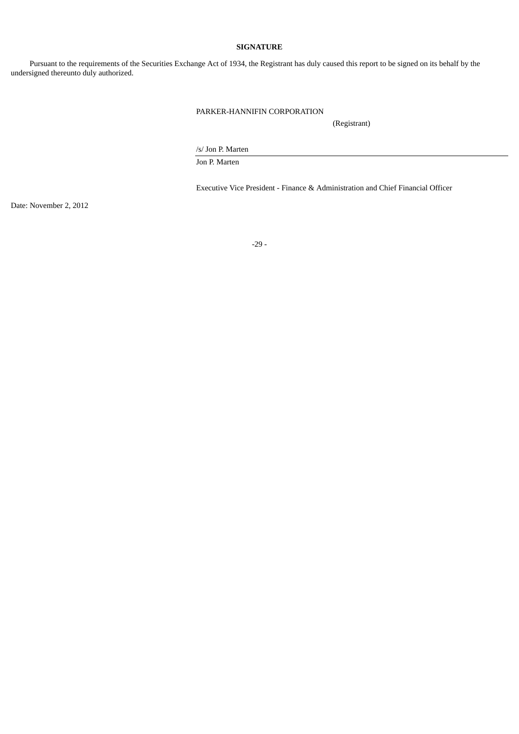#### **SIGNATURE**

Pursuant to the requirements of the Securities Exchange Act of 1934, the Registrant has duly caused this report to be signed on its behalf by the undersigned thereunto duly authorized.

# PARKER-HANNIFIN CORPORATION

(Registrant)

/s/ Jon P. Marten

Jon P. Marten

Executive Vice President - Finance & Administration and Chief Financial Officer

Date: November 2, 2012

-29 -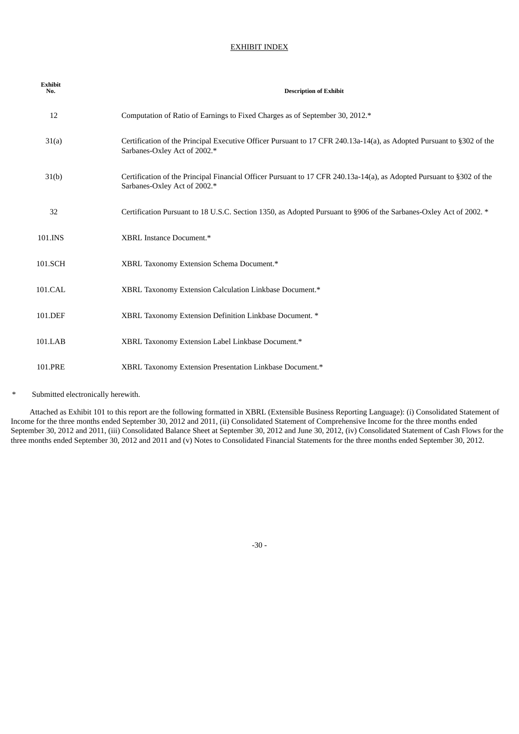#### EXHIBIT INDEX

| <b>Exhibit</b><br>No. | <b>Description of Exhibit</b>                                                                                                                         |
|-----------------------|-------------------------------------------------------------------------------------------------------------------------------------------------------|
| 12                    | Computation of Ratio of Earnings to Fixed Charges as of September 30, 2012.*                                                                          |
| 31(a)                 | Certification of the Principal Executive Officer Pursuant to 17 CFR 240.13a-14(a), as Adopted Pursuant to §302 of the<br>Sarbanes-Oxley Act of 2002.* |
| 31(b)                 | Certification of the Principal Financial Officer Pursuant to 17 CFR 240.13a-14(a), as Adopted Pursuant to §302 of the<br>Sarbanes-Oxley Act of 2002.* |
| 32                    | Certification Pursuant to 18 U.S.C. Section 1350, as Adopted Pursuant to §906 of the Sarbanes-Oxley Act of 2002. *                                    |
| 101.INS               | XBRL Instance Document.*                                                                                                                              |
| 101.SCH               | XBRL Taxonomy Extension Schema Document.*                                                                                                             |
| 101.CAL               | XBRL Taxonomy Extension Calculation Linkbase Document.*                                                                                               |
| 101.DEF               | XBRL Taxonomy Extension Definition Linkbase Document. *                                                                                               |
| 101.LAB               | XBRL Taxonomy Extension Label Linkbase Document.*                                                                                                     |
| 101.PRE               | XBRL Taxonomy Extension Presentation Linkbase Document.*                                                                                              |

Submitted electronically herewith.

Attached as Exhibit 101 to this report are the following formatted in XBRL (Extensible Business Reporting Language): (i) Consolidated Statement of Income for the three months ended September 30, 2012 and 2011, (ii) Consolidated Statement of Comprehensive Income for the three months ended September 30, 2012 and 2011, (iii) Consolidated Balance Sheet at September 30, 2012 and June 30, 2012, (iv) Consolidated Statement of Cash Flows for the three months ended September 30, 2012 and 2011 and (v) Notes to Consolidated Financial Statements for the three months ended September 30, 2012.

-30 -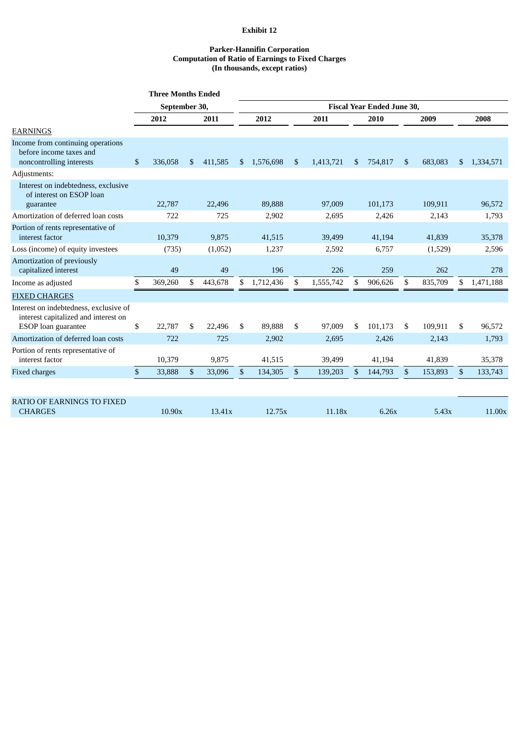# **Exhibit 12**

#### **Parker-Hannifin Corporation Computation of Ratio of Earnings to Fixed Charges (In thousands, except ratios)**

|                                                                                                       | <b>Three Months Ended</b> |         |     |         |                                   |           |               |           |              |         |              |         |              |           |
|-------------------------------------------------------------------------------------------------------|---------------------------|---------|-----|---------|-----------------------------------|-----------|---------------|-----------|--------------|---------|--------------|---------|--------------|-----------|
|                                                                                                       | September 30,             |         |     |         | <b>Fiscal Year Ended June 30.</b> |           |               |           |              |         |              |         |              |           |
|                                                                                                       |                           | 2012    |     | 2011    | 2012                              |           | 2011          | 2010      |              | 2009    |              |         | 2008         |           |
| <b>EARNINGS</b>                                                                                       |                           |         |     |         |                                   |           |               |           |              |         |              |         |              |           |
| Income from continuing operations<br>before income taxes and<br>noncontrolling interests              | \$                        | 336,058 | \$. | 411,585 | <sup>\$</sup>                     | 1,576,698 | <sup>\$</sup> | 1,413,721 | \$.          | 754.817 | \$.          | 683,083 | \$           | 1,334,571 |
| Adjustments:                                                                                          |                           |         |     |         |                                   |           |               |           |              |         |              |         |              |           |
| Interest on indebtedness, exclusive<br>of interest on ESOP loan<br>guarantee                          |                           | 22,787  |     | 22,496  |                                   | 89,888    |               | 97,009    |              | 101,173 |              | 109,911 |              | 96,572    |
| Amortization of deferred loan costs                                                                   |                           | 722     |     | 725     |                                   | 2,902     |               | 2,695     |              | 2,426   |              | 2,143   |              | 1,793     |
| Portion of rents representative of<br>interest factor                                                 |                           | 10,379  |     | 9,875   |                                   | 41,515    |               | 39,499    |              | 41,194  |              | 41,839  |              | 35,378    |
| Loss (income) of equity investees                                                                     |                           | (735)   |     | (1,052) |                                   | 1,237     |               | 2,592     |              | 6,757   |              | (1,529) |              | 2,596     |
| Amortization of previously<br>capitalized interest                                                    |                           | 49      |     | 49      |                                   | 196       |               | 226       |              | 259     |              | 262     |              | 278       |
| Income as adjusted                                                                                    | \$                        | 369,260 | \$  | 443,678 | \$                                | 1,712,436 | \$            | 1,555,742 | \$           | 906,626 | \$           | 835,709 | \$           | 1,471,188 |
| <b>FIXED CHARGES</b>                                                                                  |                           |         |     |         |                                   |           |               |           |              |         |              |         |              |           |
| Interest on indebtedness, exclusive of<br>interest capitalized and interest on<br>ESOP loan guarantee | \$                        | 22,787  | \$  | 22,496  | \$                                | 89,888    | \$            | 97,009    | \$           | 101,173 | \$           | 109,911 | \$           | 96,572    |
| Amortization of deferred loan costs                                                                   |                           | 722     |     | 725     |                                   | 2,902     |               | 2,695     |              | 2,426   |              | 2,143   |              | 1,793     |
| Portion of rents representative of<br>interest factor                                                 |                           | 10,379  |     | 9,875   |                                   | 41,515    |               | 39,499    |              | 41,194  |              | 41,839  |              | 35,378    |
| <b>Fixed charges</b>                                                                                  | \$                        | 33,888  | \$  | 33,096  | $\mathfrak{S}$                    | 134,305   | \$            | 139,203   | $\mathbb{S}$ | 144,793 | $\mathbb{S}$ | 153,893 | $\mathbb{S}$ | 133,743   |
|                                                                                                       |                           |         |     |         |                                   |           |               |           |              |         |              |         |              |           |
| <b>RATIO OF EARNINGS TO FIXED</b><br><b>CHARGES</b>                                                   |                           | 10.90x  |     | 13.41x  |                                   | 12.75x    |               | 11.18x    |              | 6.26x   |              | 5.43x   |              | 11.00x    |
|                                                                                                       |                           |         |     |         |                                   |           |               |           |              |         |              |         |              |           |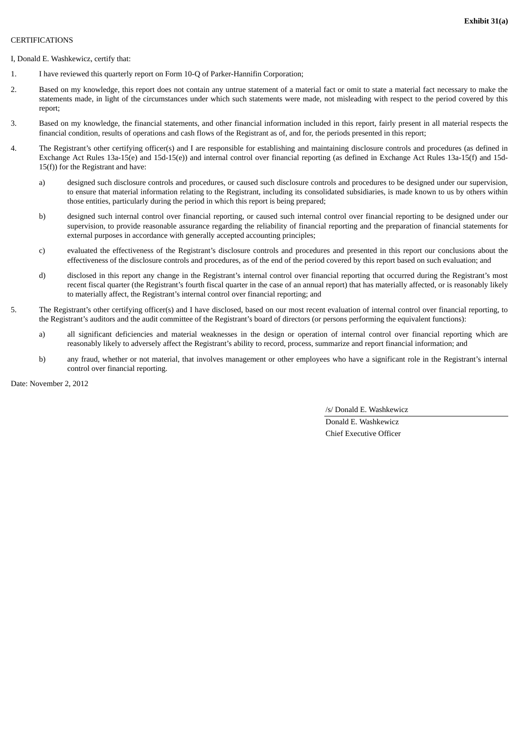#### **CERTIFICATIONS**

I, Donald E. Washkewicz, certify that:

- 1. I have reviewed this quarterly report on Form 10-Q of Parker-Hannifin Corporation;
- 2. Based on my knowledge, this report does not contain any untrue statement of a material fact or omit to state a material fact necessary to make the statements made, in light of the circumstances under which such statements were made, not misleading with respect to the period covered by this report;
- 3. Based on my knowledge, the financial statements, and other financial information included in this report, fairly present in all material respects the financial condition, results of operations and cash flows of the Registrant as of, and for, the periods presented in this report;
- 4. The Registrant's other certifying officer(s) and I are responsible for establishing and maintaining disclosure controls and procedures (as defined in Exchange Act Rules 13a-15(e) and 15d-15(e)) and internal control over financial reporting (as defined in Exchange Act Rules 13a-15(f) and 15d-15(f)) for the Registrant and have:
	- a) designed such disclosure controls and procedures, or caused such disclosure controls and procedures to be designed under our supervision, to ensure that material information relating to the Registrant, including its consolidated subsidiaries, is made known to us by others within those entities, particularly during the period in which this report is being prepared;
	- b) designed such internal control over financial reporting, or caused such internal control over financial reporting to be designed under our supervision, to provide reasonable assurance regarding the reliability of financial reporting and the preparation of financial statements for external purposes in accordance with generally accepted accounting principles;
	- c) evaluated the effectiveness of the Registrant's disclosure controls and procedures and presented in this report our conclusions about the effectiveness of the disclosure controls and procedures, as of the end of the period covered by this report based on such evaluation; and
	- d) disclosed in this report any change in the Registrant's internal control over financial reporting that occurred during the Registrant's most recent fiscal quarter (the Registrant's fourth fiscal quarter in the case of an annual report) that has materially affected, or is reasonably likely to materially affect, the Registrant's internal control over financial reporting; and
- 5. The Registrant's other certifying officer(s) and I have disclosed, based on our most recent evaluation of internal control over financial reporting, to the Registrant's auditors and the audit committee of the Registrant's board of directors (or persons performing the equivalent functions):
	- a) all significant deficiencies and material weaknesses in the design or operation of internal control over financial reporting which are reasonably likely to adversely affect the Registrant's ability to record, process, summarize and report financial information; and
	- b) any fraud, whether or not material, that involves management or other employees who have a significant role in the Registrant's internal control over financial reporting.

Date: November 2, 2012

/s/ Donald E. Washkewicz

Donald E. Washkewicz Chief Executive Officer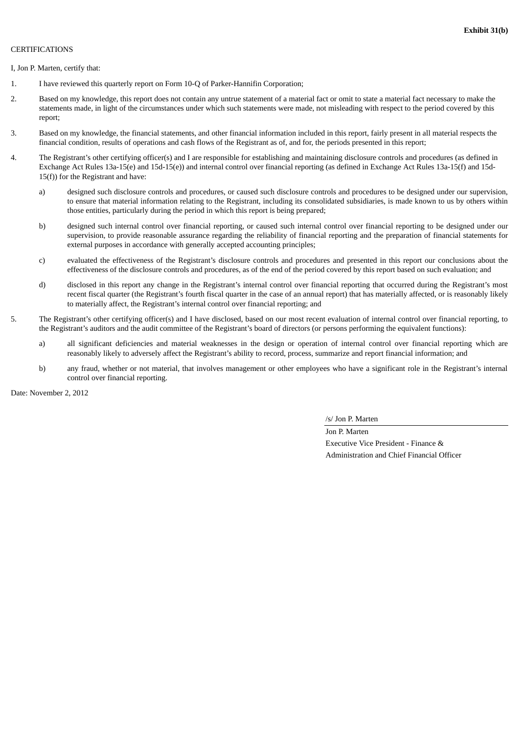#### **CERTIFICATIONS**

I, Jon P. Marten, certify that:

- 1. I have reviewed this quarterly report on Form 10-Q of Parker-Hannifin Corporation;
- 2. Based on my knowledge, this report does not contain any untrue statement of a material fact or omit to state a material fact necessary to make the statements made, in light of the circumstances under which such statements were made, not misleading with respect to the period covered by this report;
- 3. Based on my knowledge, the financial statements, and other financial information included in this report, fairly present in all material respects the financial condition, results of operations and cash flows of the Registrant as of, and for, the periods presented in this report;
- 4. The Registrant's other certifying officer(s) and I are responsible for establishing and maintaining disclosure controls and procedures (as defined in Exchange Act Rules 13a-15(e) and 15d-15(e)) and internal control over financial reporting (as defined in Exchange Act Rules 13a-15(f) and 15d-15(f)) for the Registrant and have:
	- a) designed such disclosure controls and procedures, or caused such disclosure controls and procedures to be designed under our supervision, to ensure that material information relating to the Registrant, including its consolidated subsidiaries, is made known to us by others within those entities, particularly during the period in which this report is being prepared;
	- b) designed such internal control over financial reporting, or caused such internal control over financial reporting to be designed under our supervision, to provide reasonable assurance regarding the reliability of financial reporting and the preparation of financial statements for external purposes in accordance with generally accepted accounting principles;
	- c) evaluated the effectiveness of the Registrant's disclosure controls and procedures and presented in this report our conclusions about the effectiveness of the disclosure controls and procedures, as of the end of the period covered by this report based on such evaluation; and
	- d) disclosed in this report any change in the Registrant's internal control over financial reporting that occurred during the Registrant's most recent fiscal quarter (the Registrant's fourth fiscal quarter in the case of an annual report) that has materially affected, or is reasonably likely to materially affect, the Registrant's internal control over financial reporting; and
- 5. The Registrant's other certifying officer(s) and I have disclosed, based on our most recent evaluation of internal control over financial reporting, to the Registrant's auditors and the audit committee of the Registrant's board of directors (or persons performing the equivalent functions):
	- a) all significant deficiencies and material weaknesses in the design or operation of internal control over financial reporting which are reasonably likely to adversely affect the Registrant's ability to record, process, summarize and report financial information; and
	- b) any fraud, whether or not material, that involves management or other employees who have a significant role in the Registrant's internal control over financial reporting.

Date: November 2, 2012

/s/ Jon P. Marten

Jon P. Marten Executive Vice President - Finance & Administration and Chief Financial Officer